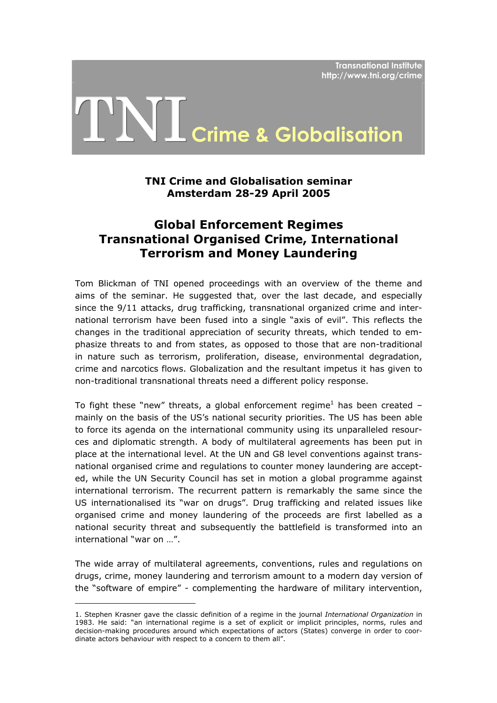**Transnational Institute http://www.tni.org/crime**

# TNI **Crime & Globalisation**

# **TNI Crime and Globalisation seminar Amsterdam 28-29 April 2005**

# **Global Enforcement Regimes Transnational Organised Crime, International Terrorism and Money Laundering**

Tom Blickman of TNI opened proceedings with an overview of the theme and aims of the seminar. He suggested that, over the last decade, and especially since the 9/11 attacks, drug trafficking, transnational organized crime and international terrorism have been fused into a single "axis of evil". This reflects the changes in the traditional appreciation of security threats, which tended to emphasize threats to and from states, as opposed to those that are non-traditional in nature such as terrorism, proliferation, disease, environmental degradation, crime and narcotics flows. Globalization and the resultant impetus it has given to non-traditional transnational threats need a different policy response.

To fight these "new" threats, a global enforcement regime<sup>[1](#page-0-0)</sup> has been created – mainly on the basis of the US's national security priorities. The US has been able to force its agenda on the international community using its unparalleled resources and diplomatic strength. A body of multilateral agreements has been put in place at the international level. At the UN and G8 level conventions against transnational organised crime and regulations to counter money laundering are accepted, while the UN Security Council has set in motion a global programme against international terrorism. The recurrent pattern is remarkably the same since the US internationalised its "war on drugs". Drug trafficking and related issues like organised crime and money laundering of the proceeds are first labelled as a national security threat and subsequently the battlefield is transformed into an international "war on …".

The wide array of multilateral agreements, conventions, rules and regulations on drugs, crime, money laundering and terrorism amount to a modern day version of the "software of empire" - complementing the hardware of military intervention,

<span id="page-0-0"></span><sup>1.</sup> Stephen Krasner gave the classic definition of a regime in the journal *International Organization* in 1983. He said: "an international regime is a set of explicit or implicit principles, norms, rules and decision-making procedures around which expectations of actors (States) converge in order to coordinate actors behaviour with respect to a concern to them all".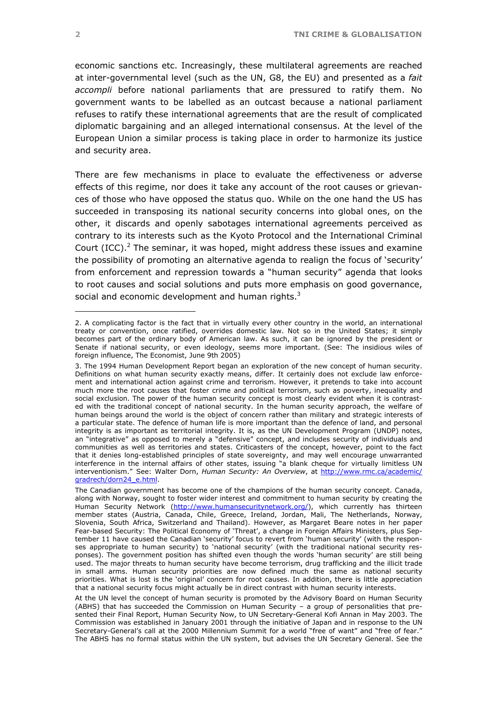<span id="page-1-1"></span>economic sanctions etc. Increasingly, these multilateral agreements are reached at inter-governmental level (such as the UN, G8, the EU) and presented as a *fait accompli* before national parliaments that are pressured to ratify them. No government wants to be labelled as an outcast because a national parliament refuses to ratify these international agreements that are the result of complicated diplomatic bargaining and an alleged international consensus. At the level of the European Union a similar process is taking place in order to harmonize its justice and security area.

There are few mechanisms in place to evaluate the effectiveness or adverse effects of this regime, nor does it take any account of the root causes or grievances of those who have opposed the status quo. While on the one hand the US has succeeded in transposing its national security concerns into global ones, on the other, it discards and openly sabotages international agreements perceived as contrary to its interests such as the Kyoto Protocol and the International Criminal Court (ICC).<sup>[2](#page-1-0)</sup> The seminar, it was hoped, might address these issues and examine the possibility of promoting an alternative agenda to realign the focus of 'security' from enforcement and repression towards a "human security" agenda that looks to root causes and social solutions and puts more emphasis on good governance, social and economic development and human rights.<sup>[3](#page-1-1)</sup>

<span id="page-1-0"></span><sup>2.</sup> A complicating factor is the fact that in virtually every other country in the world, an international treaty or convention, once ratified, overrides domestic law. Not so in the United States; it simply becomes part of the ordinary body of American law. As such, it can be ignored by the president or Senate if national security, or even ideology, seems more important. (See: The insidious wiles of foreign influence, The Economist, June 9th 2005)

<sup>3.</sup> The 1994 Human Development Report began an exploration of the new concept of human security. Definitions on what human security exactly means, differ. It certainly does not exclude law enforcement and international action against crime and terrorism. However, it pretends to take into account much more the root causes that foster crime and political terrorism, such as poverty, inequality and social exclusion. The power of the human security concept is most clearly evident when it is contrasted with the traditional concept of national security. In the human security approach, the welfare of human beings around the world is the object of concern rather than military and strategic interests of a particular state. The defence of human life is more important than the defence of land, and personal integrity is as important as territorial integrity. It is, as the UN Development Program (UNDP) notes, an "integrative" as opposed to merely a "defensive" concept, and includes security of individuals and communities as well as territories and states. Criticasters of the concept, however, point to the fact that it denies long-established principles of state sovereignty, and may well encourage unwarranted interference in the internal affairs of other states, issuing "a blank cheque for virtually limitless UN interventionism." See: Walter Dorn, *Human Security: An Overview*, at [http://www.rmc.ca/academic/](http://www.rmc.ca/ academic/gradrech/dorn24_e.html)  [gradrech/dorn24\\_e.html](http://www.rmc.ca/ academic/gradrech/dorn24_e.html).

The Canadian government has become one of the champions of the human security concept. Canada, along with Norway, sought to foster wider interest and commitment to human security by creating the Human Security Network ([http://www.humansecuritynetwork.org/\)](http://www.humansecuritynetwork.org/), which currently has thirteen member states (Austria, Canada, Chile, Greece, Ireland, Jordan, Mali, The Netherlands, Norway, Slovenia, South Africa, Switzerland and Thailand). However, as Margaret Beare notes in her paper Fear-based Security: The Political Economy of 'Threat', a change in Foreign Affairs Ministers, plus September 11 have caused the Canadian 'security' focus to revert from 'human security' (with the responses appropriate to human security) to 'national security' (with the traditional national security responses). The government position has shifted even though the words 'human security' are still being used. The major threats to human security have become terrorism, drug trafficking and the illicit trade in small arms. Human security priorities are now defined much the same as national security priorities. What is lost is the 'original' concern for root causes. In addition, there is little appreciation that a national security focus might actually be in direct contrast with human security interests.

At the UN level the concept of human security is promoted by the Advisory Board on Human Security (ABHS) that has succeeded the Commission on Human Security – a group of personalities that presented their Final Report, Human Security Now, to UN Secretary-General Kofi Annan in May 2003. The Commission was established in January 2001 through the initiative of Japan and in response to the UN Secretary-General's call at the 2000 Millennium Summit for a world "free of want" and "free of fear." The ABHS has no formal status within the UN system, but advises the UN Secretary General. See the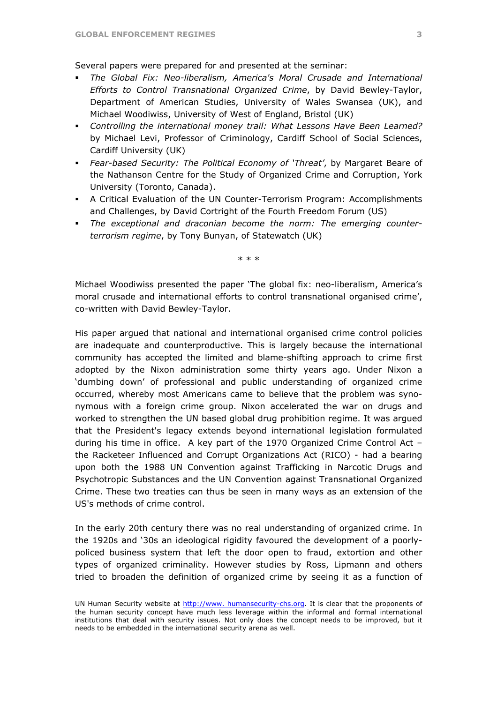Several papers were prepared for and presented at the seminar:

- *The Global Fix: Neo-liberalism, America's Moral Crusade and International Efforts to Control Transnational Organized Crime*, by David Bewley-Taylor, Department of American Studies, University of Wales Swansea (UK), and Michael Woodiwiss, University of West of England, Bristol (UK)
- *Controlling the international money trail: What Lessons Have Been Learned?* by Michael Levi, Professor of Criminology, Cardiff School of Social Sciences, Cardiff University (UK)
- *Fear-based Security: The Political Economy of 'Threat'*, by Margaret Beare of the Nathanson Centre for the Study of Organized Crime and Corruption, York University (Toronto, Canada).
- A Critical Evaluation of the UN Counter-Terrorism Program: Accomplishments and Challenges, by David Cortright of the Fourth Freedom Forum (US)
- *The exceptional and draconian become the norm: The emerging counterterrorism regime*, by Tony Bunyan, of Statewatch (UK)

\* \* \*

Michael Woodiwiss presented the paper 'The global fix: neo-liberalism, America's moral crusade and international efforts to control transnational organised crime', co-written with David Bewley-Taylor.

His paper argued that national and international organised crime control policies are inadequate and counterproductive. This is largely because the international community has accepted the limited and blame-shifting approach to crime first adopted by the Nixon administration some thirty years ago. Under Nixon a 'dumbing down' of professional and public understanding of organized crime occurred, whereby most Americans came to believe that the problem was synonymous with a foreign crime group. Nixon accelerated the war on drugs and worked to strengthen the UN based global drug prohibition regime. It was argued that the President's legacy extends beyond international legislation formulated during his time in office. A key part of the 1970 Organized Crime Control Act – the Racketeer Influenced and Corrupt Organizations Act (RICO) - had a bearing upon both the 1988 UN Convention against Trafficking in Narcotic Drugs and Psychotropic Substances and the UN Convention against Transnational Organized Crime. These two treaties can thus be seen in many ways as an extension of the US's methods of crime control.

In the early 20th century there was no real understanding of organized crime. In the 1920s and '30s an ideological rigidity favoured the development of a poorlypoliced business system that left the door open to fraud, extortion and other types of organized criminality. However studies by Ross, Lipmann and others tried to broaden the definition of organized crime by seeing it as a function of

1

UN Human Security website at [http://www. humansecurity-chs.org](http://www. humansecurity-chs.org/). It is clear that the proponents of the human security concept have much less leverage within the informal and formal international institutions that deal with security issues. Not only does the concept needs to be improved, but it needs to be embedded in the international security arena as well.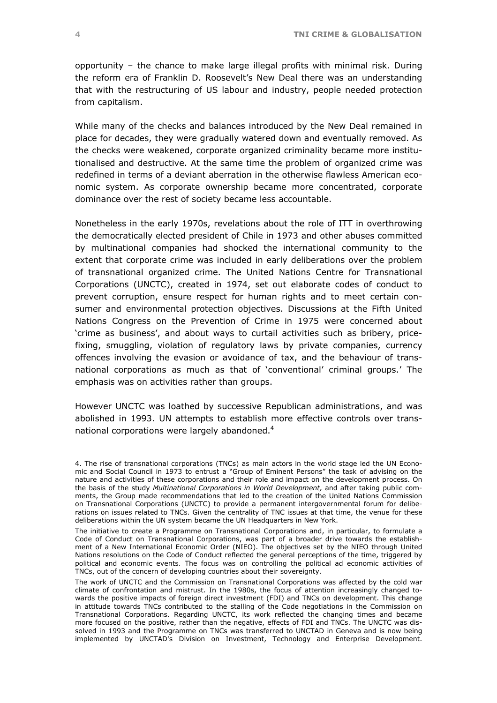<span id="page-3-0"></span>opportunity – the chance to make large illegal profits with minimal risk. During the reform era of Franklin D. Roosevelt's New Deal there was an understanding that with the restructuring of US labour and industry, people needed protection from capitalism.

While many of the checks and balances introduced by the New Deal remained in place for decades, they were gradually watered down and eventually removed. As the checks were weakened, corporate organized criminality became more institutionalised and destructive. At the same time the problem of organized crime was redefined in terms of a deviant aberration in the otherwise flawless American economic system. As corporate ownership became more concentrated, corporate dominance over the rest of society became less accountable.

Nonetheless in the early 1970s, revelations about the role of ITT in overthrowing the democratically elected president of Chile in 1973 and other abuses committed by multinational companies had shocked the international community to the extent that corporate crime was included in early deliberations over the problem of transnational organized crime. The United Nations Centre for Transnational Corporations (UNCTC), created in 1974, set out elaborate codes of conduct to prevent corruption, ensure respect for human rights and to meet certain consumer and environmental protection objectives. Discussions at the Fifth United Nations Congress on the Prevention of Crime in 1975 were concerned about 'crime as business', and about ways to curtail activities such as bribery, pricefixing, smuggling, violation of regulatory laws by private companies, currency offences involving the evasion or avoidance of tax, and the behaviour of transnational corporations as much as that of 'conventional' criminal groups.' The emphasis was on activities rather than groups.

However UNCTC was loathed by successive Republican administrations, and was abolished in 1993. UN attempts to establish more effective controls over trans-national corporations were largely abandoned.<sup>[4](#page-3-0)</sup>

<sup>4.</sup> The rise of transnational corporations (TNCs) as main actors in the world stage led the UN Economic and Social Council in 1973 to entrust a "Group of Eminent Persons" the task of advising on the nature and activities of these corporations and their role and impact on the development process. On the basis of the study *Multinational Corporations in World Development,* and after taking public comments, the Group made recommendations that led to the creation of the United Nations Commission on Transnational Corporations (UNCTC) to provide a permanent intergovernmental forum for deliberations on issues related to TNCs. Given the centrality of TNC issues at that time, the venue for these deliberations within the UN system became the UN Headquarters in New York.

The initiative to create a Programme on Transnational Corporations and, in particular, to formulate a Code of Conduct on Transnational Corporations, was part of a broader drive towards the establishment of a New International Economic Order (NIEO). The objectives set by the NIEO through United Nations resolutions on the Code of Conduct reflected the general perceptions of the time, triggered by political and economic events. The focus was on controlling the political ad economic activities of TNCs, out of the concern of developing countries about their sovereignty.

The work of UNCTC and the Commission on Transnational Corporations was affected by the cold war climate of confrontation and mistrust. In the 1980s, the focus of attention increasingly changed towards the positive impacts of foreign direct investment (FDI) and TNCs on development. This change in attitude towards TNCs contributed to the stalling of the Code negotiations in the Commission on Transnational Corporations. Regarding UNCTC, its work reflected the changing times and became more focused on the positive, rather than the negative, effects of FDI and TNCs. The UNCTC was dissolved in 1993 and the Programme on TNCs was transferred to UNCTAD in Geneva and is now being implemented by UNCTAD's Division on Investment, Technology and Enterprise Development.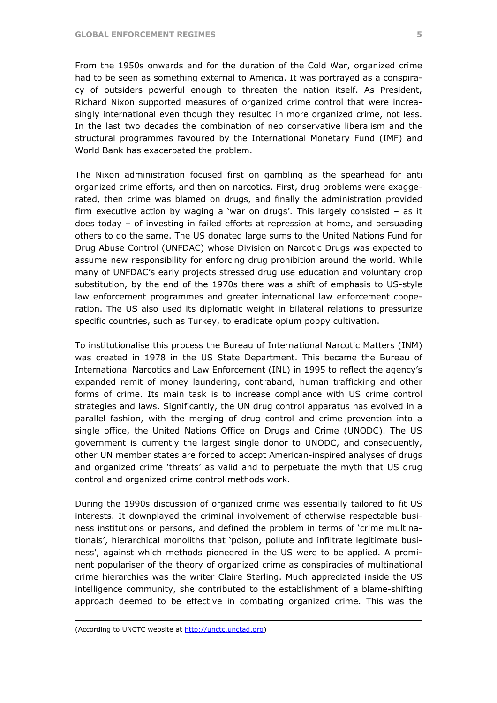From the 1950s onwards and for the duration of the Cold War, organized crime had to be seen as something external to America. It was portrayed as a conspiracy of outsiders powerful enough to threaten the nation itself. As President, Richard Nixon supported measures of organized crime control that were increasingly international even though they resulted in more organized crime, not less. In the last two decades the combination of neo conservative liberalism and the structural programmes favoured by the International Monetary Fund (IMF) and World Bank has exacerbated the problem.

The Nixon administration focused first on gambling as the spearhead for anti organized crime efforts, and then on narcotics. First, drug problems were exaggerated, then crime was blamed on drugs, and finally the administration provided firm executive action by waging a 'war on drugs'. This largely consisted – as it does today – of investing in failed efforts at repression at home, and persuading others to do the same. The US donated large sums to the United Nations Fund for Drug Abuse Control (UNFDAC) whose Division on Narcotic Drugs was expected to assume new responsibility for enforcing drug prohibition around the world. While many of UNFDAC's early projects stressed drug use education and voluntary crop substitution, by the end of the 1970s there was a shift of emphasis to US-style law enforcement programmes and greater international law enforcement cooperation. The US also used its diplomatic weight in bilateral relations to pressurize specific countries, such as Turkey, to eradicate opium poppy cultivation.

To institutionalise this process the Bureau of International Narcotic Matters (INM) was created in 1978 in the US State Department. This became the Bureau of International Narcotics and Law Enforcement (INL) in 1995 to reflect the agency's expanded remit of money laundering, contraband, human trafficking and other forms of crime. Its main task is to increase compliance with US crime control strategies and laws. Significantly, the UN drug control apparatus has evolved in a parallel fashion, with the merging of drug control and crime prevention into a single office, the United Nations Office on Drugs and Crime (UNODC). The US government is currently the largest single donor to UNODC, and consequently, other UN member states are forced to accept American-inspired analyses of drugs and organized crime 'threats' as valid and to perpetuate the myth that US drug control and organized crime control methods work.

During the 1990s discussion of organized crime was essentially tailored to fit US interests. It downplayed the criminal involvement of otherwise respectable business institutions or persons, and defined the problem in terms of 'crime multinationals', hierarchical monoliths that 'poison, pollute and infiltrate legitimate business', against which methods pioneered in the US were to be applied. A prominent populariser of the theory of organized crime as conspiracies of multinational crime hierarchies was the writer Claire Sterling. Much appreciated inside the US intelligence community, she contributed to the establishment of a blame-shifting approach deemed to be effective in combating organized crime. This was the

1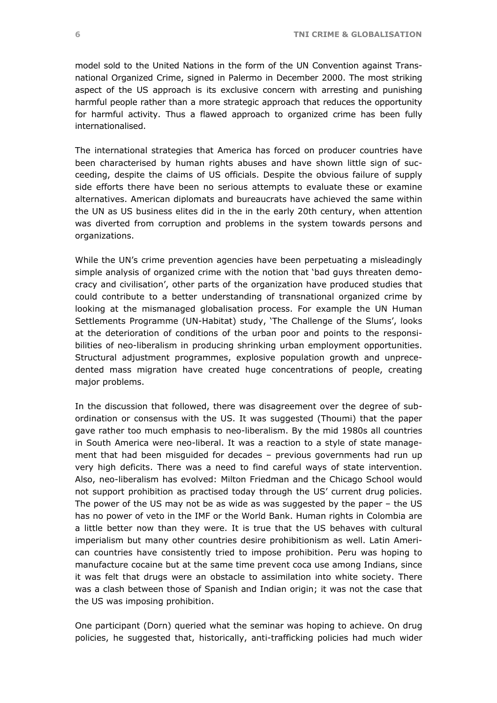model sold to the United Nations in the form of the UN Convention against Transnational Organized Crime, signed in Palermo in December 2000. The most striking aspect of the US approach is its exclusive concern with arresting and punishing harmful people rather than a more strategic approach that reduces the opportunity for harmful activity. Thus a flawed approach to organized crime has been fully internationalised.

The international strategies that America has forced on producer countries have been characterised by human rights abuses and have shown little sign of succeeding, despite the claims of US officials. Despite the obvious failure of supply side efforts there have been no serious attempts to evaluate these or examine alternatives. American diplomats and bureaucrats have achieved the same within the UN as US business elites did in the in the early 20th century, when attention was diverted from corruption and problems in the system towards persons and organizations.

While the UN's crime prevention agencies have been perpetuating a misleadingly simple analysis of organized crime with the notion that 'bad guys threaten democracy and civilisation', other parts of the organization have produced studies that could contribute to a better understanding of transnational organized crime by looking at the mismanaged globalisation process. For example the UN Human Settlements Programme (UN-Habitat) study, 'The Challenge of the Slums', looks at the deterioration of conditions of the urban poor and points to the responsibilities of neo-liberalism in producing shrinking urban employment opportunities. Structural adjustment programmes, explosive population growth and unprecedented mass migration have created huge concentrations of people, creating major problems.

In the discussion that followed, there was disagreement over the degree of subordination or consensus with the US. It was suggested (Thoumi) that the paper gave rather too much emphasis to neo-liberalism. By the mid 1980s all countries in South America were neo-liberal. It was a reaction to a style of state management that had been misguided for decades – previous governments had run up very high deficits. There was a need to find careful ways of state intervention. Also, neo-liberalism has evolved: Milton Friedman and the Chicago School would not support prohibition as practised today through the US' current drug policies. The power of the US may not be as wide as was suggested by the paper – the US has no power of veto in the IMF or the World Bank. Human rights in Colombia are a little better now than they were. It is true that the US behaves with cultural imperialism but many other countries desire prohibitionism as well. Latin American countries have consistently tried to impose prohibition. Peru was hoping to manufacture cocaine but at the same time prevent coca use among Indians, since it was felt that drugs were an obstacle to assimilation into white society. There was a clash between those of Spanish and Indian origin; it was not the case that the US was imposing prohibition.

One participant (Dorn) queried what the seminar was hoping to achieve. On drug policies, he suggested that, historically, anti-trafficking policies had much wider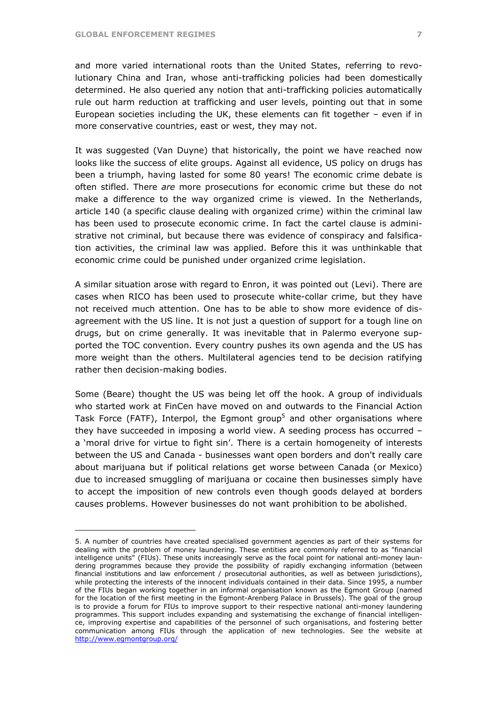$\overline{a}$ 

and more varied international roots than the United States, referring to revolutionary China and Iran, whose anti-trafficking policies had been domestically determined. He also queried any notion that anti-trafficking policies automatically rule out harm reduction at trafficking and user levels, pointing out that in some European societies including the UK, these elements can fit together – even if in more conservative countries, east or west, they may not.

It was suggested (Van Duyne) that historically, the point we have reached now looks like the success of elite groups. Against all evidence, US policy on drugs has been a triumph, having lasted for some 80 years! The economic crime debate is often stifled. There *are* more prosecutions for economic crime but these do not make a difference to the way organized crime is viewed. In the Netherlands, article 140 (a specific clause dealing with organized crime) within the criminal law has been used to prosecute economic crime. In fact the cartel clause is administrative not criminal, but because there was evidence of conspiracy and falsification activities, the criminal law was applied. Before this it was unthinkable that economic crime could be punished under organized crime legislation.

A similar situation arose with regard to Enron, it was pointed out (Levi). There are cases when RICO has been used to prosecute white-collar crime, but they have not received much attention. One has to be able to show more evidence of disagreement with the US line. It is not just a question of support for a tough line on drugs, but on crime generally. It was inevitable that in Palermo everyone supported the TOC convention. Every country pushes its own agenda and the US has more weight than the others. Multilateral agencies tend to be decision ratifying rather then decision-making bodies.

Some (Beare) thought the US was being let off the hook. A group of individuals who started work at FinCen have moved on and outwards to the Financial Action Task Force (FATF), Interpol, the Egmont group<sup>[5](#page-6-0)</sup> and other organisations where they have succeeded in imposing a world view. A seeding process has occurred – a 'moral drive for virtue to fight sin'. There is a certain homogeneity of interests between the US and Canada - businesses want open borders and don't really care about marijuana but if political relations get worse between Canada (or Mexico) due to increased smuggling of marijuana or cocaine then businesses simply have to accept the imposition of new controls even though goods delayed at borders causes problems. However businesses do not want prohibition to be abolished.

<span id="page-6-0"></span><sup>5.</sup> A number of countries have created specialised government agencies as part of their systems for dealing with the problem of money laundering. These entities are commonly referred to as "financial intelligence units" (FIUs). These units increasingly serve as the focal point for national anti-money laundering programmes because they provide the possibility of rapidly exchanging information (between financial institutions and law enforcement / prosecutorial authorities, as well as between jurisdictions), while protecting the interests of the innocent individuals contained in their data. Since 1995, a number of the FIUs began working together in an informal organisation known as the Egmont Group (named for the location of the first meeting in the Egmont-Arenberg Palace in Brussels). The goal of the group is to provide a forum for FIUs to improve support to their respective national anti-money laundering programmes. This support includes expanding and systematising the exchange of financial intelligence, improving expertise and capabilities of the personnel of such organisations, and fostering better communication among FIUs through the application of new technologies. See the website at <http://www.egmontgroup.org/>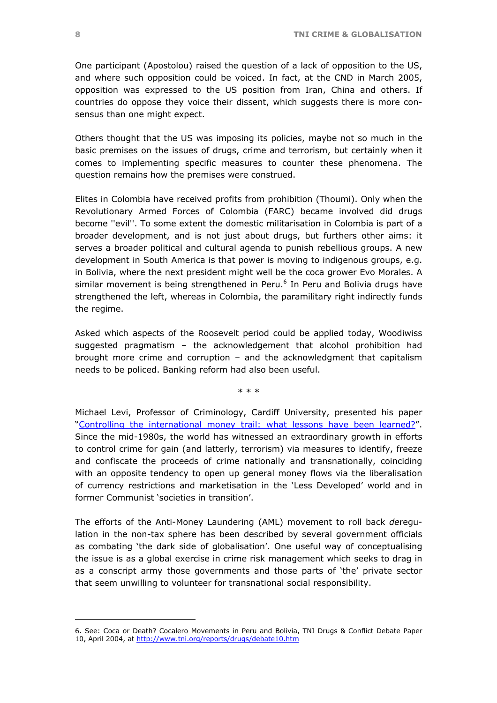One participant (Apostolou) raised the question of a lack of opposition to the US, and where such opposition could be voiced. In fact, at the CND in March 2005, opposition was expressed to the US position from Iran, China and others. If countries do oppose they voice their dissent, which suggests there is more consensus than one might expect.

Others thought that the US was imposing its policies, maybe not so much in the basic premises on the issues of drugs, crime and terrorism, but certainly when it comes to implementing specific measures to counter these phenomena. The question remains how the premises were construed.

Elites in Colombia have received profits from prohibition (Thoumi). Only when the Revolutionary Armed Forces of Colombia (FARC) became involved did drugs become ''evil''. To some extent the domestic militarisation in Colombia is part of a broader development, and is not just about drugs, but furthers other aims: it serves a broader political and cultural agenda to punish rebellious groups. A new development in South America is that power is moving to indigenous groups, e.g. in Bolivia, where the next president might well be the coca grower Evo Morales. A similarmovement is being strengthened in Peru.<sup>6</sup> In Peru and Bolivia drugs have strengthened the left, whereas in Colombia, the paramilitary right indirectly funds the regime.

Asked which aspects of the Roosevelt period could be applied today, Woodiwiss suggested pragmatism – the acknowledgement that alcohol prohibition had brought more crime and corruption – and the acknowledgment that capitalism needs to be policed. Banking reform had also been useful.

\* \* \*

Michael Levi, Professor of Criminology, Cardiff University, presented his paper "[Controlling the international money trail: what lessons](http://www.tni.org/crime-docs/levi.pdf) have been learned?". Since the mid-1980s, the world has witnessed an extraordinary growth in efforts to control crime for gain (and latterly, terrorism) via measures to identify, freeze and confiscate the proceeds of crime nationally and transnationally, coinciding with an opposite tendency to open up general money flows via the liberalisation of currency restrictions and marketisation in the 'Less Developed' world and in former Communist 'societies in transition'.

The efforts of the Anti-Money Laundering (AML) movement to roll back *de*regulation in the non-tax sphere has been described by several government officials as combating 'the dark side of globalisation'. One useful way of conceptualising the issue is as a global exercise in crime risk management which seeks to drag in as a conscript army those governments and those parts of 'the' private sector that seem unwilling to volunteer for transnational social responsibility.

<span id="page-7-0"></span><sup>6.</sup> See: Coca or Death? Cocalero Movements in Peru and Bolivia, TNI Drugs & Conflict Debate Paper 10, April 2004, at <http://www.tni.org/reports/drugs/debate10.htm>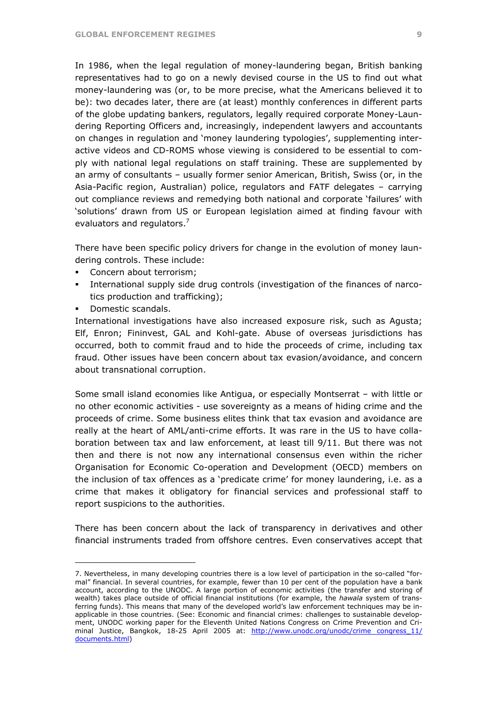In 1986, when the legal regulation of money-laundering began, British banking representatives had to go on a newly devised course in the US to find out what money-laundering was (or, to be more precise, what the Americans believed it to be): two decades later, there are (at least) monthly conferences in different parts of the globe updating bankers, regulators, legally required corporate Money-Laundering Reporting Officers and, increasingly, independent lawyers and accountants on changes in regulation and 'money laundering typologies', supplementing interactive videos and CD-ROMS whose viewing is considered to be essential to comply with national legal regulations on staff training. These are supplemented by an army of consultants – usually former senior American, British, Swiss (or, in the Asia-Pacific region, Australian) police, regulators and FATF delegates – carrying out compliance reviews and remedying both national and corporate 'failures' with 'solutions' drawn from US or European legislation aimed at finding favour with evaluators and regulators.<sup>[7](#page-8-0)</sup>

There have been specific policy drivers for change in the evolution of money laundering controls. These include:

- Concern about terrorism;
- International supply side drug controls (investigation of the finances of narcotics production and trafficking);
- Domestic scandals.

 $\overline{a}$ 

International investigations have also increased exposure risk, such as Agusta; Elf, Enron; Fininvest, GAL and Kohl-gate. Abuse of overseas jurisdictions has occurred, both to commit fraud and to hide the proceeds of crime, including tax fraud. Other issues have been concern about tax evasion/avoidance, and concern about transnational corruption.

Some small island economies like Antigua, or especially Montserrat – with little or no other economic activities - use sovereignty as a means of hiding crime and the proceeds of crime. Some business elites think that tax evasion and avoidance are really at the heart of AML/anti-crime efforts. It was rare in the US to have collaboration between tax and law enforcement, at least till 9/11. But there was not then and there is not now any international consensus even within the richer Organisation for Economic Co-operation and Development (OECD) members on the inclusion of tax offences as a 'predicate crime' for money laundering, i.e. as a crime that makes it obligatory for financial services and professional staff to report suspicions to the authorities.

There has been concern about the lack of transparency in derivatives and other financial instruments traded from offshore centres. Even conservatives accept that

<span id="page-8-0"></span><sup>7.</sup> Nevertheless, in many developing countries there is a low level of participation in the so-called "formal" financial. In several countries, for example, fewer than 10 per cent of the population have a bank account, according to the UNODC. A large portion of economic activities (the transfer and storing of wealth) takes place outside of official financial institutions (for example, the *hawala* system of transferring funds). This means that many of the developed world's law enforcement techniques may be inapplicable in those countries. (See: Economic and financial crimes: challenges to sustainable development, UNODC working paper for the Eleventh United Nations Congress on Crime Prevention and Criminal Justice, Bangkok, 18-25 April 2005 at: http://www.unodc.org/unodc/crime congress 11/ [documents.html\)](http://www.unodc.org/unodc/crime congress_11/ documents.html)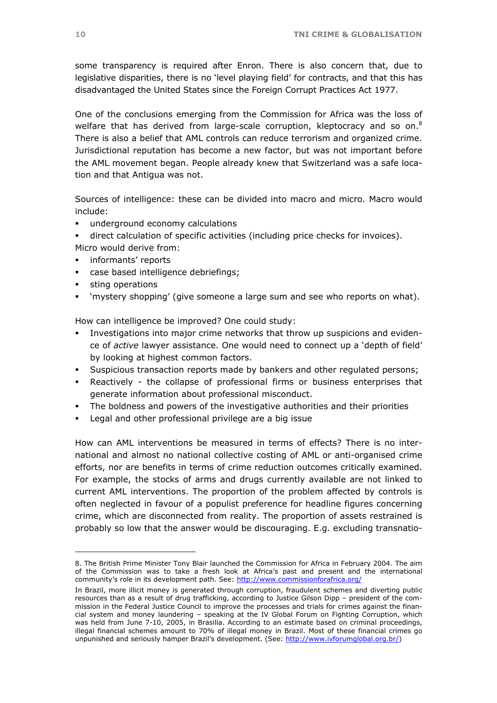some transparency is required after Enron. There is also concern that, due to legislative disparities, there is no 'level playing field' for contracts, and that this has disadvantaged the United States since the Foreign Corrupt Practices Act 1977.

One of the conclusions emerging from the Commission for Africa was the loss of welfare that has derived from large-scale corruption, kleptocracy and so on.<sup>8</sup> There is also a belief that AML controls can reduce terrorism and organized crime. Jurisdictional reputation has become a new factor, but was not important before the AML movement began. People already knew that Switzerland was a safe location and that Antigua was not.

Sources of intelligence: these can be divided into macro and micro. Macro would include:

- underground economy calculations
- direct calculation of specific activities (including price checks for invoices). Micro would derive from:
- informants' reports
- case based intelligence debriefings;
- **sting operations**

 $\overline{a}$ 

'mystery shopping' (give someone a large sum and see who reports on what).

How can intelligence be improved? One could study:

- Investigations into major crime networks that throw up suspicions and evidence of *active* lawyer assistance. One would need to connect up a 'depth of field' by looking at highest common factors.
- Suspicious transaction reports made by bankers and other regulated persons;
- Reactively the collapse of professional firms or business enterprises that generate information about professional misconduct.
- The boldness and powers of the investigative authorities and their priorities
- **EXECTE Legal and other professional privilege are a big issue**

How can AML interventions be measured in terms of effects? There is no international and almost no national collective costing of AML or anti-organised crime efforts, nor are benefits in terms of crime reduction outcomes critically examined. For example, the stocks of arms and drugs currently available are not linked to current AML interventions. The proportion of the problem affected by controls is often neglected in favour of a populist preference for headline figures concerning crime, which are disconnected from reality. The proportion of assets restrained is probably so low that the answer would be discouraging. E.g. excluding transnatio-

<span id="page-9-0"></span><sup>8.</sup> The British Prime Minister Tony Blair launched the Commission for Africa in February 2004. The aim of the Commission was to take a fresh look at Africa's past and present and the international community's role in its development path. See: <http://www.commissionforafrica.org/>

In Brazil, more illicit money is generated through corruption, fraudulent schemes and diverting public resources than as a result of drug trafficking, according to Justice Gilson Dipp – president of the commission in the Federal Justice Council to improve the processes and trials for crimes against the financial system and money laundering – speaking at the IV Global Forum on Fighting Corruption, which was held from June 7-10, 2005, in Brasilia. According to an estimate based on criminal proceedings, illegal financial schemes amount to 70% of illegal money in Brazil. Most of these financial crimes go unpunished and seriously hamper Brazil's development. (See:<http://www.ivforumglobal.org.br/>)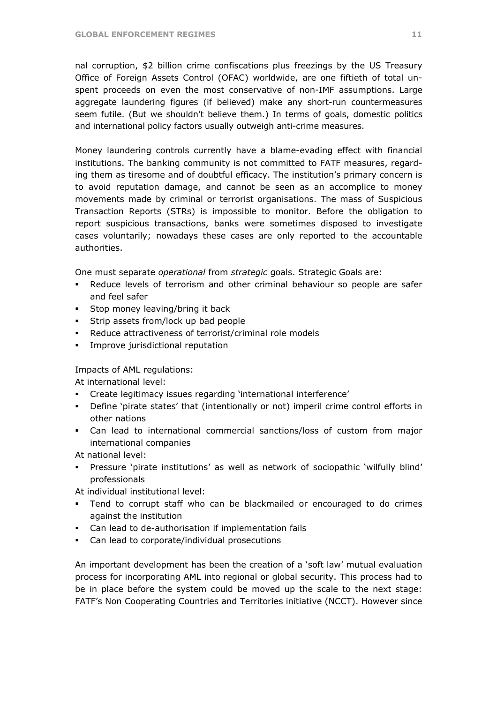nal corruption, \$2 billion crime confiscations plus freezings by the US Treasury Office of Foreign Assets Control (OFAC) worldwide, are one fiftieth of total unspent proceeds on even the most conservative of non-IMF assumptions. Large aggregate laundering figures (if believed) make any short-run countermeasures seem futile. (But we shouldn't believe them.) In terms of goals, domestic politics and international policy factors usually outweigh anti-crime measures.

Money laundering controls currently have a blame-evading effect with financial institutions. The banking community is not committed to FATF measures, regarding them as tiresome and of doubtful efficacy. The institution's primary concern is to avoid reputation damage, and cannot be seen as an accomplice to money movements made by criminal or terrorist organisations. The mass of Suspicious Transaction Reports (STRs) is impossible to monitor. Before the obligation to report suspicious transactions, banks were sometimes disposed to investigate cases voluntarily; nowadays these cases are only reported to the accountable authorities.

One must separate *operational* from *strategic* goals. Strategic Goals are:

- Reduce levels of terrorism and other criminal behaviour so people are safer and feel safer
- **Stop money leaving/bring it back**
- Strip assets from/lock up bad people
- Reduce attractiveness of terrorist/criminal role models
- **Improve jurisdictional reputation**

### Impacts of AML regulations:

At international level:

- Create legitimacy issues regarding 'international interference'
- Define 'pirate states' that (intentionally or not) imperil crime control efforts in other nations
- Can lead to international commercial sanctions/loss of custom from major international companies

At national level:

 Pressure 'pirate institutions' as well as network of sociopathic 'wilfully blind' professionals

At individual institutional level:

- Tend to corrupt staff who can be blackmailed or encouraged to do crimes against the institution
- Can lead to de-authorisation if implementation fails
- Can lead to corporate/individual prosecutions

An important development has been the creation of a 'soft law' mutual evaluation process for incorporating AML into regional or global security. This process had to be in place before the system could be moved up the scale to the next stage: FATF's Non Cooperating Countries and Territories initiative (NCCT). However since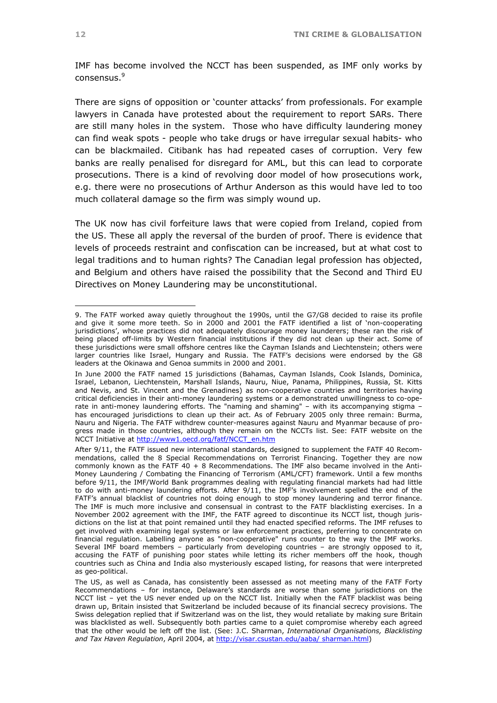IMF has become involved the NCCT has been suspended, as IMF only works by consensus.<sup>[9](#page-11-0)</sup>

There are signs of opposition or 'counter attacks' from professionals. For example lawyers in Canada have protested about the requirement to report SARs. There are still many holes in the system. Those who have difficulty laundering money can find weak spots - people who take drugs or have irregular sexual habits- who can be blackmailed. Citibank has had repeated cases of corruption. Very few banks are really penalised for disregard for AML, but this can lead to corporate prosecutions. There is a kind of revolving door model of how prosecutions work, e.g. there were no prosecutions of Arthur Anderson as this would have led to too much collateral damage so the firm was simply wound up.

The UK now has civil forfeiture laws that were copied from Ireland, copied from the US. These all apply the reversal of the burden of proof. There is evidence that levels of proceeds restraint and confiscation can be increased, but at what cost to legal traditions and to human rights? The Canadian legal profession has objected, and Belgium and others have raised the possibility that the Second and Third EU Directives on Money Laundering may be unconstitutional.

<span id="page-11-0"></span><sup>9.</sup> The FATF worked away quietly throughout the 1990s, until the G7/G8 decided to raise its profile and give it some more teeth. So in 2000 and 2001 the FATF identified a list of 'non-cooperating jurisdictions', whose practices did not adequately discourage money launderers; these ran the risk of being placed off-limits by Western financial institutions if they did not clean up their act. Some of these jurisdictions were small offshore centres like the Cayman Islands and Liechtenstein; others were larger countries like Israel, Hungary and Russia. The FATF's decisions were endorsed by the G8 leaders at the Okinawa and Genoa summits in 2000 and 2001.

In June 2000 the FATF named 15 jurisdictions (Bahamas, Cayman Islands, Cook Islands, Dominica, Israel, Lebanon, Liechtenstein, Marshall Islands, Nauru, Niue, Panama, Philippines, Russia, St. Kitts and Nevis, and St. Vincent and the Grenadines) as non-cooperative countries and territories having critical deficiencies in their anti-money laundering systems or a demonstrated unwillingness to co-operate in anti-money laundering efforts. The "naming and shaming" – with its accompanying stigma – has encouraged jurisdictions to clean up their act. As of February 2005 only three remain: Burma, Nauru and Nigeria. The FATF withdrew counter-measures against Nauru and Myanmar because of progress made in those countries, although they remain on the NCCTs list. See: FATF website on the NCCT Initiative at [http://www1.oecd.org/fatf/NCCT\\_en.htm](http://www1.oecd.org/fatf/NCCT_en.htm) 

After 9/11, the FATF issued new international standards, designed to supplement the FATF 40 Recommendations, called the 8 Special Recommendations on Terrorist Financing. Together they are now commonly known as the FATF 40 + 8 Recommendations. The IMF also became involved in the Anti-Money Laundering / Combating the Financing of Terrorism (AML/CFT) framework. Until a few months before 9/11, the IMF/World Bank programmes dealing with regulating financial markets had had little to do with anti-money laundering efforts. After 9/11, the IMF's involvement spelled the end of the FATF's annual blacklist of countries not doing enough to stop money laundering and terror finance. The IMF is much more inclusive and consensual in contrast to the FATF blacklisting exercises. In a November 2002 agreement with the IMF, the FATF agreed to discontinue its NCCT list, though jurisdictions on the list at that point remained until they had enacted specified reforms. The IMF refuses to get involved with examining legal systems or law enforcement practices, preferring to concentrate on financial regulation. Labelling anyone as "non-cooperative" runs counter to the way the IMF works. Several IMF board members – particularly from developing countries – are strongly opposed to it, accusing the FATF of punishing poor states while letting its richer members off the hook, though countries such as China and India also mysteriously escaped listing, for reasons that were interpreted as geo-political.

The US, as well as Canada, has consistently been assessed as not meeting many of the FATF Forty Recommendations – for instance, Delaware's standards are worse than some jurisdictions on the NCCT list – yet the US never ended up on the NCCT list. Initially when the FATF blacklist was being drawn up, Britain insisted that Switzerland be included because of its financial secrecy provisions. The Swiss delegation replied that if Switzerland was on the list, they would retaliate by making sure Britain was blacklisted as well. Subsequently both parties came to a quiet compromise whereby each agreed that the other would be left off the list. (See: J.C. Sharman, *International Organisations, Blacklisting and Tax Haven Regulation*, April 2004, at [http://visar.csustan.edu/aaba/ sharman.html\)](http://visar.csustan.edu/aaba/ sharman.html)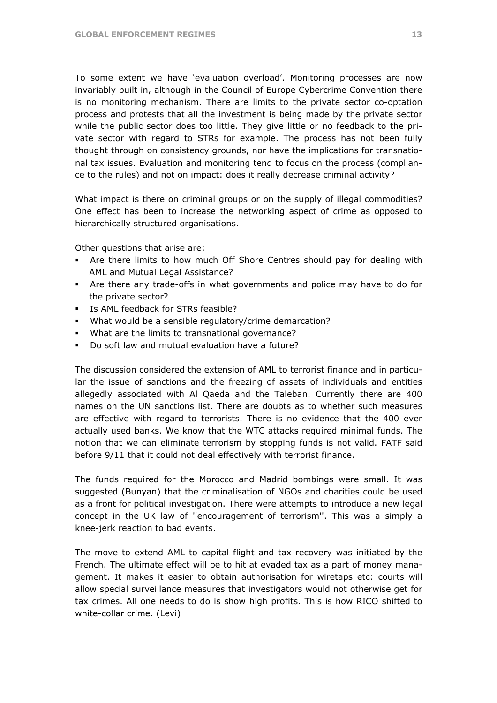To some extent we have 'evaluation overload'. Monitoring processes are now invariably built in, although in the Council of Europe Cybercrime Convention there is no monitoring mechanism. There are limits to the private sector co-optation process and protests that all the investment is being made by the private sector while the public sector does too little. They give little or no feedback to the private sector with regard to STRs for example. The process has not been fully thought through on consistency grounds, nor have the implications for transnational tax issues. Evaluation and monitoring tend to focus on the process (compliance to the rules) and not on impact: does it really decrease criminal activity?

What impact is there on criminal groups or on the supply of illegal commodities? One effect has been to increase the networking aspect of crime as opposed to hierarchically structured organisations.

Other questions that arise are:

- Are there limits to how much Off Shore Centres should pay for dealing with AML and Mutual Legal Assistance?
- Are there any trade-offs in what governments and police may have to do for the private sector?
- **IS AML feedback for STRs feasible?**
- What would be a sensible regulatory/crime demarcation?
- What are the limits to transnational governance?
- Do soft law and mutual evaluation have a future?

The discussion considered the extension of AML to terrorist finance and in particular the issue of sanctions and the freezing of assets of individuals and entities allegedly associated with Al Qaeda and the Taleban. Currently there are 400 names on the UN sanctions list. There are doubts as to whether such measures are effective with regard to terrorists. There is no evidence that the 400 ever actually used banks. We know that the WTC attacks required minimal funds. The notion that we can eliminate terrorism by stopping funds is not valid. FATF said before 9/11 that it could not deal effectively with terrorist finance.

The funds required for the Morocco and Madrid bombings were small. It was suggested (Bunyan) that the criminalisation of NGOs and charities could be used as a front for political investigation. There were attempts to introduce a new legal concept in the UK law of ''encouragement of terrorism''. This was a simply a knee-jerk reaction to bad events.

The move to extend AML to capital flight and tax recovery was initiated by the French. The ultimate effect will be to hit at evaded tax as a part of money management. It makes it easier to obtain authorisation for wiretaps etc: courts will allow special surveillance measures that investigators would not otherwise get for tax crimes. All one needs to do is show high profits. This is how RICO shifted to white-collar crime. (Levi)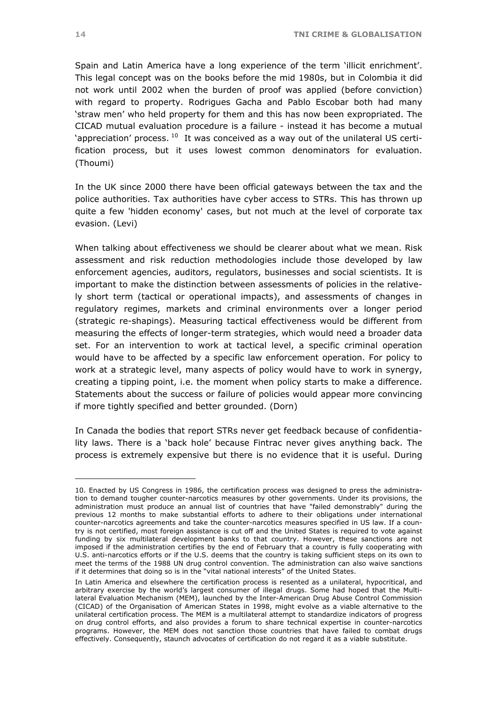Spain and Latin America have a long experience of the term 'illicit enrichment'. This legal concept was on the books before the mid 1980s, but in Colombia it did not work until 2002 when the burden of proof was applied (before conviction) with regard to property. Rodrigues Gacha and Pablo Escobar both had many 'straw men' who held property for them and this has now been expropriated. The CICAD mutual evaluation procedure is a failure - instead it has become a mutual 'appreciation' process.  $10$  It was conceived as a way out of the unilateral US certification process, but it uses lowest common denominators for evaluation. (Thoumi)

In the UK since 2000 there have been official gateways between the tax and the police authorities. Tax authorities have cyber access to STRs. This has thrown up quite a few 'hidden economy' cases, but not much at the level of corporate tax evasion. (Levi)

When talking about effectiveness we should be clearer about what we mean. Risk assessment and risk reduction methodologies include those developed by law enforcement agencies, auditors, regulators, businesses and social scientists. It is important to make the distinction between assessments of policies in the relatively short term (tactical or operational impacts), and assessments of changes in regulatory regimes, markets and criminal environments over a longer period (strategic re-shapings). Measuring tactical effectiveness would be different from measuring the effects of longer-term strategies, which would need a broader data set. For an intervention to work at tactical level, a specific criminal operation would have to be affected by a specific law enforcement operation. For policy to work at a strategic level, many aspects of policy would have to work in synergy, creating a tipping point, i.e. the moment when policy starts to make a difference. Statements about the success or failure of policies would appear more convincing if more tightly specified and better grounded. (Dorn)

In Canada the bodies that report STRs never get feedback because of confidentiality laws. There is a 'back hole' because Fintrac never gives anything back. The process is extremely expensive but there is no evidence that it is useful. During

<span id="page-13-0"></span><sup>10.</sup> Enacted by US Congress in 1986, the certification process was designed to press the administration to demand tougher counter-narcotics measures by other governments. Under its provisions, the administration must produce an annual list of countries that have "failed demonstrably" during the previous 12 months to make substantial efforts to adhere to their obligations under international counter-narcotics agreements and take the counter-narcotics measures specified in US law. If a country is not certified, most foreign assistance is cut off and the United States is required to vote against funding by six multilateral development banks to that country. However, these sanctions are not imposed if the administration certifies by the end of February that a country is fully cooperating with U.S. anti-narcotics efforts or if the U.S. deems that the country is taking sufficient steps on its own to meet the terms of the 1988 UN drug control convention. The administration can also waive sanctions if it determines that doing so is in the "vital national interests" of the United States.

In Latin America and elsewhere the certification process is resented as a unilateral, hypocritical, and arbitrary exercise by the world's largest consumer of illegal drugs. Some had hoped that the Multilateral Evaluation Mechanism (MEM), launched by the Inter-American Drug Abuse Control Commission (CICAD) of the Organisation of American States in 1998, might evolve as a viable alternative to the unilateral certification process. The MEM is a multilateral attempt to standardize indicators of progress on drug control efforts, and also provides a forum to share technical expertise in counter-narcotics programs. However, the MEM does not sanction those countries that have failed to combat drugs effectively. Consequently, staunch advocates of certification do not regard it as a viable substitute.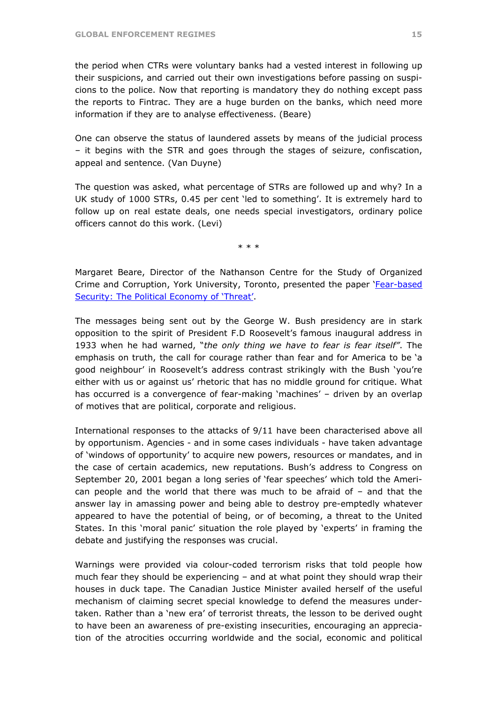the period when CTRs were voluntary banks had a vested interest in following up their suspicions, and carried out their own investigations before passing on suspicions to the police. Now that reporting is mandatory they do nothing except pass the reports to Fintrac. They are a huge burden on the banks, which need more information if they are to analyse effectiveness. (Beare)

One can observe the status of laundered assets by means of the judicial process – it begins with the STR and goes through the stages of seizure, confiscation, appeal and sentence. (Van Duyne)

The question was asked, what percentage of STRs are followed up and why? In a UK study of 1000 STRs, 0.45 per cent 'led to something'. It is extremely hard to follow up on real estate deals, one needs special investigators, ordinary police officers cannot do this work. (Levi)

\* \* \*

Margaret Beare, Director of the Nathanson Centre for the Study of Organized Crime and Corruption, York University, Toronto, presented the paper 'Fear-based [Security: The Political Economy of 'Threat'](http://www.tni.org/crime-docs/beare.pdf).

The messages being sent out by the George W. Bush presidency are in stark opposition to the spirit of President F.D Roosevelt's famous inaugural address in 1933 when he had warned, "*the only thing we have to fear is fear itself"*. The emphasis on truth, the call for courage rather than fear and for America to be 'a good neighbour' in Roosevelt's address contrast strikingly with the Bush 'you're either with us or against us' rhetoric that has no middle ground for critique. What has occurred is a convergence of fear-making 'machines' – driven by an overlap of motives that are political, corporate and religious.

International responses to the attacks of 9/11 have been characterised above all by opportunism. Agencies - and in some cases individuals - have taken advantage of 'windows of opportunity' to acquire new powers, resources or mandates, and in the case of certain academics, new reputations. Bush's address to Congress on September 20, 2001 began a long series of 'fear speeches' which told the American people and the world that there was much to be afraid of  $-$  and that the answer lay in amassing power and being able to destroy pre-emptedly whatever appeared to have the potential of being, or of becoming, a threat to the United States. In this 'moral panic' situation the role played by 'experts' in framing the debate and justifying the responses was crucial.

Warnings were provided via colour-coded terrorism risks that told people how much fear they should be experiencing – and at what point they should wrap their houses in duck tape. The Canadian Justice Minister availed herself of the useful mechanism of claiming secret special knowledge to defend the measures undertaken. Rather than a 'new era' of terrorist threats, the lesson to be derived ought to have been an awareness of pre-existing insecurities, encouraging an appreciation of the atrocities occurring worldwide and the social, economic and political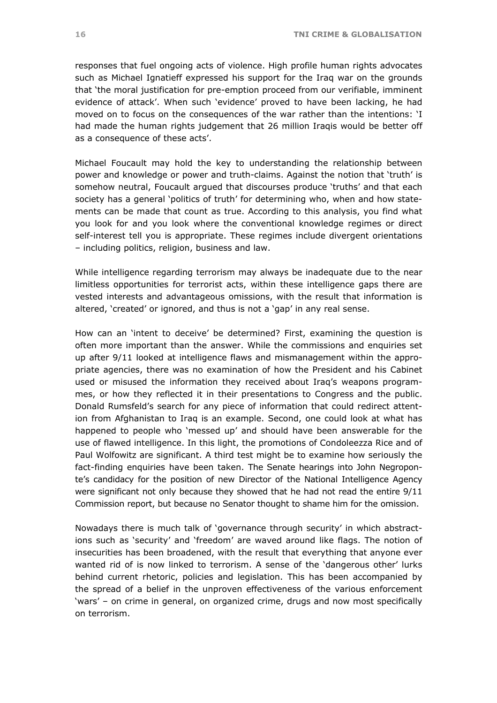responses that fuel ongoing acts of violence. High profile human rights advocates such as Michael Ignatieff expressed his support for the Iraq war on the grounds that 'the moral justification for pre-emption proceed from our verifiable, imminent evidence of attack'. When such 'evidence' proved to have been lacking, he had moved on to focus on the consequences of the war rather than the intentions: 'I had made the human rights judgement that 26 million Iraqis would be better off as a consequence of these acts'.

Michael Foucault may hold the key to understanding the relationship between power and knowledge or power and truth-claims. Against the notion that 'truth' is somehow neutral, Foucault argued that discourses produce 'truths' and that each society has a general 'politics of truth' for determining who, when and how statements can be made that count as true. According to this analysis, you find what you look for and you look where the conventional knowledge regimes or direct self-interest tell you is appropriate. These regimes include divergent orientations – including politics, religion, business and law.

While intelligence regarding terrorism may always be inadequate due to the near limitless opportunities for terrorist acts, within these intelligence gaps there are vested interests and advantageous omissions, with the result that information is altered, 'created' or ignored, and thus is not a 'gap' in any real sense.

How can an 'intent to deceive' be determined? First, examining the question is often more important than the answer. While the commissions and enquiries set up after 9/11 looked at intelligence flaws and mismanagement within the appropriate agencies, there was no examination of how the President and his Cabinet used or misused the information they received about Iraq's weapons programmes, or how they reflected it in their presentations to Congress and the public. Donald Rumsfeld's search for any piece of information that could redirect attention from Afghanistan to Iraq is an example. Second, one could look at what has happened to people who 'messed up' and should have been answerable for the use of flawed intelligence. In this light, the promotions of Condoleezza Rice and of Paul Wolfowitz are significant. A third test might be to examine how seriously the fact-finding enquiries have been taken. The Senate hearings into John Negroponte's candidacy for the position of new Director of the National Intelligence Agency were significant not only because they showed that he had not read the entire 9/11 Commission report, but because no Senator thought to shame him for the omission.

Nowadays there is much talk of 'governance through security' in which abstractions such as 'security' and 'freedom' are waved around like flags. The notion of insecurities has been broadened, with the result that everything that anyone ever wanted rid of is now linked to terrorism. A sense of the 'dangerous other' lurks behind current rhetoric, policies and legislation. This has been accompanied by the spread of a belief in the unproven effectiveness of the various enforcement 'wars' – on crime in general, on organized crime, drugs and now most specifically on terrorism.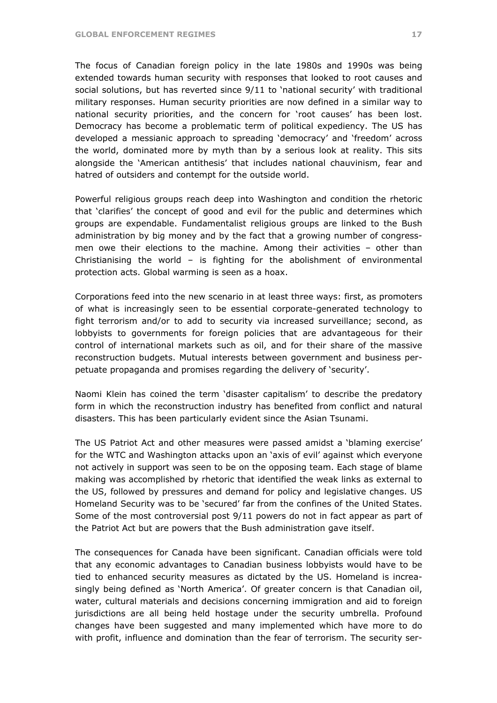The focus of Canadian foreign policy in the late 1980s and 1990s was being extended towards human security with responses that looked to root causes and social solutions, but has reverted since 9/11 to 'national security' with traditional military responses. Human security priorities are now defined in a similar way to national security priorities, and the concern for 'root causes' has been lost. Democracy has become a problematic term of political expediency. The US has developed a messianic approach to spreading 'democracy' and 'freedom' across the world, dominated more by myth than by a serious look at reality. This sits alongside the 'American antithesis' that includes national chauvinism, fear and hatred of outsiders and contempt for the outside world.

Powerful religious groups reach deep into Washington and condition the rhetoric that 'clarifies' the concept of good and evil for the public and determines which groups are expendable. Fundamentalist religious groups are linked to the Bush administration by big money and by the fact that a growing number of congressmen owe their elections to the machine. Among their activities – other than Christianising the world  $-$  is fighting for the abolishment of environmental protection acts. Global warming is seen as a hoax.

Corporations feed into the new scenario in at least three ways: first, as promoters of what is increasingly seen to be essential corporate-generated technology to fight terrorism and/or to add to security via increased surveillance; second, as lobbyists to governments for foreign policies that are advantageous for their control of international markets such as oil, and for their share of the massive reconstruction budgets. Mutual interests between government and business perpetuate propaganda and promises regarding the delivery of 'security'.

Naomi Klein has coined the term 'disaster capitalism' to describe the predatory form in which the reconstruction industry has benefited from conflict and natural disasters. This has been particularly evident since the Asian Tsunami.

The US Patriot Act and other measures were passed amidst a 'blaming exercise' for the WTC and Washington attacks upon an 'axis of evil' against which everyone not actively in support was seen to be on the opposing team. Each stage of blame making was accomplished by rhetoric that identified the weak links as external to the US, followed by pressures and demand for policy and legislative changes. US Homeland Security was to be 'secured' far from the confines of the United States. Some of the most controversial post 9/11 powers do not in fact appear as part of the Patriot Act but are powers that the Bush administration gave itself.

The consequences for Canada have been significant. Canadian officials were told that any economic advantages to Canadian business lobbyists would have to be tied to enhanced security measures as dictated by the US. Homeland is increasingly being defined as 'North America'. Of greater concern is that Canadian oil, water, cultural materials and decisions concerning immigration and aid to foreign jurisdictions are all being held hostage under the security umbrella. Profound changes have been suggested and many implemented which have more to do with profit, influence and domination than the fear of terrorism. The security ser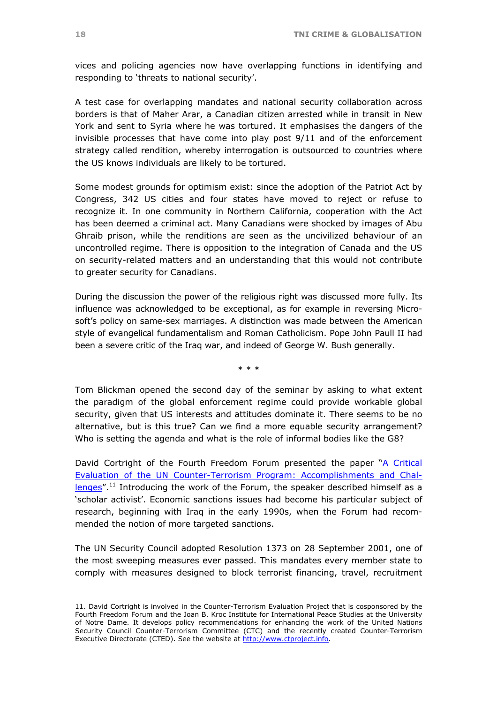vices and policing agencies now have overlapping functions in identifying and responding to 'threats to national security'.

A test case for overlapping mandates and national security collaboration across borders is that of Maher Arar, a Canadian citizen arrested while in transit in New York and sent to Syria where he was tortured. It emphasises the dangers of the invisible processes that have come into play post 9/11 and of the enforcement strategy called rendition, whereby interrogation is outsourced to countries where the US knows individuals are likely to be tortured.

Some modest grounds for optimism exist: since the adoption of the Patriot Act by Congress, 342 US cities and four states have moved to reject or refuse to recognize it. In one community in Northern California, cooperation with the Act has been deemed a criminal act. Many Canadians were shocked by images of Abu Ghraib prison, while the renditions are seen as the uncivilized behaviour of an uncontrolled regime. There is opposition to the integration of Canada and the US on security-related matters and an understanding that this would not contribute to greater security for Canadians.

During the discussion the power of the religious right was discussed more fully. Its influence was acknowledged to be exceptional, as for example in reversing Microsoft's policy on same-sex marriages. A distinction was made between the American style of evangelical fundamentalism and Roman Catholicism. Pope John Paull II had been a severe critic of the Iraq war, and indeed of George W. Bush generally.

\* \* \*

Tom Blickman opened the second day of the seminar by asking to what extent the paradigm of the global enforcement regime could provide workable global security, given that US interests and attitudes dominate it. There seems to be no alternative, but is this true? Can we find a more equable security arrangement? Who is setting the agenda and what is the role of informal bodies like the G8?

David Cortright of the Fourth Freedom Forum presented the paper ["A Critical](http://www.tni.org/crime-docs/cortright.pdf)  [Evaluation of the UN Counter-Terrorism Program: Accomplishments and Chal](http://www.tni.org/crime-docs/cortright.pdf)[lenges](http://www.tni.org/crime-docs/cortright.pdf)".<sup>[11](#page-17-0)</sup> Introducing the work of the Forum, the speaker described himself as a 'scholar activist'. Economic sanctions issues had become his particular subject of research, beginning with Iraq in the early 1990s, when the Forum had recommended the notion of more targeted sanctions.

The UN Security Council adopted Resolution 1373 on 28 September 2001, one of the most sweeping measures ever passed. This mandates every member state to comply with measures designed to block terrorist financing, travel, recruitment

<span id="page-17-0"></span><sup>11.</sup> David Cortright is involved in the Counter-Terrorism Evaluation Project that is cosponsored by the Fourth Freedom Forum and the Joan B. Kroc Institute for International Peace Studies at the University of Notre Dame. It develops policy recommendations for enhancing the work of the United Nations Security Council Counter-Terrorism Committee (CTC) and the recently created Counter-Terrorism Executive Directorate (CTED). See the website at [http://www.ctproject.info](http://www.ctproject.info/).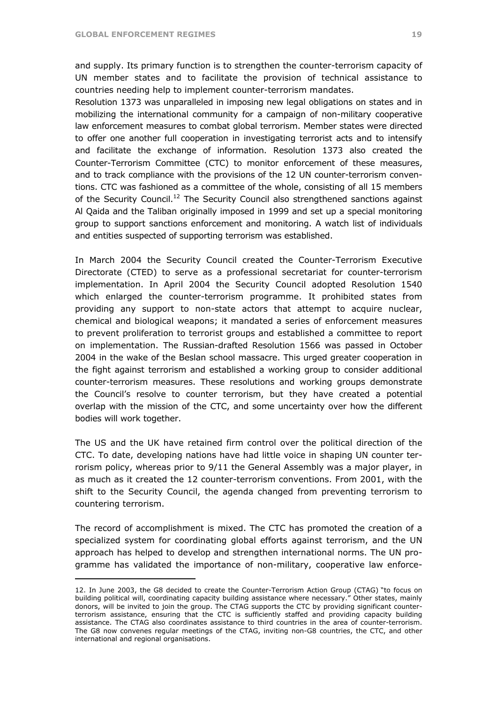$\overline{a}$ 

and supply. Its primary function is to strengthen the counter-terrorism capacity of UN member states and to facilitate the provision of technical assistance to countries needing help to implement counter-terrorism mandates.

Resolution 1373 was unparalleled in imposing new legal obligations on states and in mobilizing the international community for a campaign of non-military cooperative law enforcement measures to combat global terrorism. Member states were directed to offer one another full cooperation in investigating terrorist acts and to intensify and facilitate the exchange of information. Resolution 1373 also created the Counter-Terrorism Committee (CTC) to monitor enforcement of these measures, and to track compliance with the provisions of the 12 UN counter-terrorism conventions. CTC was fashioned as a committee of the whole, consisting of all 15 members of the Security Council.<sup>[12](#page-18-0)</sup> The Security Council also strengthened sanctions against Al Qaida and the Taliban originally imposed in 1999 and set up a special monitoring group to support sanctions enforcement and monitoring. A watch list of individuals and entities suspected of supporting terrorism was established.

In March 2004 the Security Council created the Counter-Terrorism Executive Directorate (CTED) to serve as a professional secretariat for counter-terrorism implementation. In April 2004 the Security Council adopted Resolution 1540 which enlarged the counter-terrorism programme. It prohibited states from providing any support to non-state actors that attempt to acquire nuclear, chemical and biological weapons; it mandated a series of enforcement measures to prevent proliferation to terrorist groups and established a committee to report on implementation. The Russian-drafted Resolution 1566 was passed in October 2004 in the wake of the Beslan school massacre. This urged greater cooperation in the fight against terrorism and established a working group to consider additional counter-terrorism measures. These resolutions and working groups demonstrate the Council's resolve to counter terrorism, but they have created a potential overlap with the mission of the CTC, and some uncertainty over how the different bodies will work together.

The US and the UK have retained firm control over the political direction of the CTC. To date, developing nations have had little voice in shaping UN counter terrorism policy, whereas prior to 9/11 the General Assembly was a major player, in as much as it created the 12 counter-terrorism conventions. From 2001, with the shift to the Security Council, the agenda changed from preventing terrorism to countering terrorism.

The record of accomplishment is mixed. The CTC has promoted the creation of a specialized system for coordinating global efforts against terrorism, and the UN approach has helped to develop and strengthen international norms. The UN programme has validated the importance of non-military, cooperative law enforce-

<span id="page-18-0"></span><sup>12.</sup> In June 2003, the G8 decided to create the Counter-Terrorism Action Group (CTAG) "to focus on building political will, coordinating capacity building assistance where necessary." Other states, mainly donors, will be invited to join the group. The CTAG supports the CTC by providing significant counterterrorism assistance, ensuring that the CTC is sufficiently staffed and providing capacity building assistance. The CTAG also coordinates assistance to third countries in the area of counter-terrorism. The G8 now convenes regular meetings of the CTAG, inviting non-G8 countries, the CTC, and other international and regional organisations.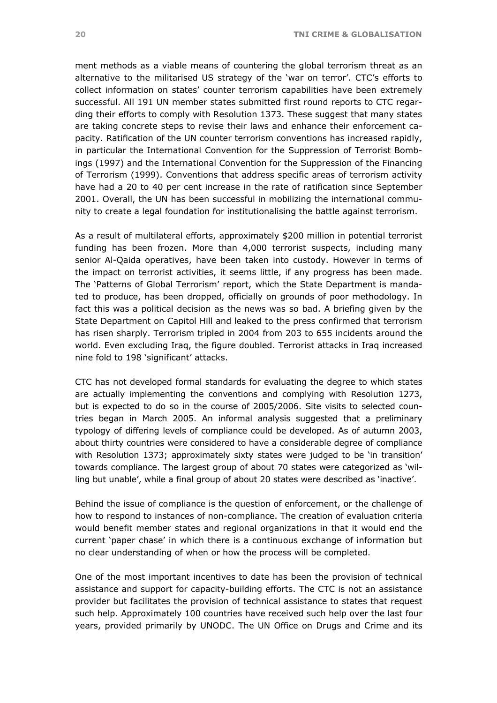ment methods as a viable means of countering the global terrorism threat as an alternative to the militarised US strategy of the 'war on terror'. CTC's efforts to collect information on states' counter terrorism capabilities have been extremely successful. All 191 UN member states submitted first round reports to CTC regarding their efforts to comply with Resolution 1373. These suggest that many states are taking concrete steps to revise their laws and enhance their enforcement capacity. Ratification of the UN counter terrorism conventions has increased rapidly, in particular the International Convention for the Suppression of Terrorist Bombings (1997) and the International Convention for the Suppression of the Financing of Terrorism (1999). Conventions that address specific areas of terrorism activity have had a 20 to 40 per cent increase in the rate of ratification since September 2001. Overall, the UN has been successful in mobilizing the international community to create a legal foundation for institutionalising the battle against terrorism.

As a result of multilateral efforts, approximately \$200 million in potential terrorist funding has been frozen. More than 4,000 terrorist suspects, including many senior Al-Qaida operatives, have been taken into custody. However in terms of the impact on terrorist activities, it seems little, if any progress has been made. The 'Patterns of Global Terrorism' report, which the State Department is mandated to produce, has been dropped, officially on grounds of poor methodology. In fact this was a political decision as the news was so bad. A briefing given by the State Department on Capitol Hill and leaked to the press confirmed that terrorism has risen sharply. Terrorism tripled in 2004 from 203 to 655 incidents around the world. Even excluding Iraq, the figure doubled. Terrorist attacks in Iraq increased nine fold to 198 'significant' attacks.

CTC has not developed formal standards for evaluating the degree to which states are actually implementing the conventions and complying with Resolution 1273, but is expected to do so in the course of 2005/2006. Site visits to selected countries began in March 2005. An informal analysis suggested that a preliminary typology of differing levels of compliance could be developed. As of autumn 2003, about thirty countries were considered to have a considerable degree of compliance with Resolution 1373; approximately sixty states were judged to be 'in transition' towards compliance. The largest group of about 70 states were categorized as 'willing but unable', while a final group of about 20 states were described as 'inactive'.

Behind the issue of compliance is the question of enforcement, or the challenge of how to respond to instances of non-compliance. The creation of evaluation criteria would benefit member states and regional organizations in that it would end the current 'paper chase' in which there is a continuous exchange of information but no clear understanding of when or how the process will be completed.

One of the most important incentives to date has been the provision of technical assistance and support for capacity-building efforts. The CTC is not an assistance provider but facilitates the provision of technical assistance to states that request such help. Approximately 100 countries have received such help over the last four years, provided primarily by UNODC. The UN Office on Drugs and Crime and its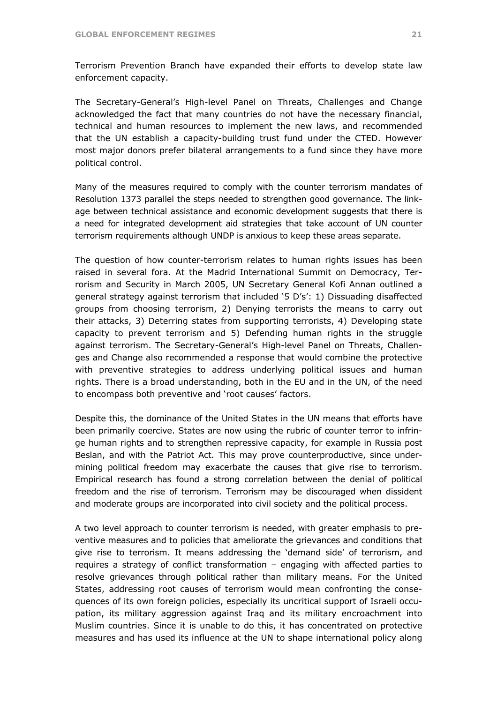Terrorism Prevention Branch have expanded their efforts to develop state law enforcement capacity.

The Secretary-General's High-level Panel on Threats, Challenges and Change acknowledged the fact that many countries do not have the necessary financial, technical and human resources to implement the new laws, and recommended that the UN establish a capacity-building trust fund under the CTED. However most major donors prefer bilateral arrangements to a fund since they have more political control.

Many of the measures required to comply with the counter terrorism mandates of Resolution 1373 parallel the steps needed to strengthen good governance. The linkage between technical assistance and economic development suggests that there is a need for integrated development aid strategies that take account of UN counter terrorism requirements although UNDP is anxious to keep these areas separate.

The question of how counter-terrorism relates to human rights issues has been raised in several fora. At the Madrid International Summit on Democracy, Terrorism and Security in March 2005, UN Secretary General Kofi Annan outlined a general strategy against terrorism that included '5 D's': 1) Dissuading disaffected groups from choosing terrorism, 2) Denying terrorists the means to carry out their attacks, 3) Deterring states from supporting terrorists, 4) Developing state capacity to prevent terrorism and 5) Defending human rights in the struggle against terrorism. The Secretary-General's High-level Panel on Threats, Challenges and Change also recommended a response that would combine the protective with preventive strategies to address underlying political issues and human rights. There is a broad understanding, both in the EU and in the UN, of the need to encompass both preventive and 'root causes' factors.

Despite this, the dominance of the United States in the UN means that efforts have been primarily coercive. States are now using the rubric of counter terror to infringe human rights and to strengthen repressive capacity, for example in Russia post Beslan, and with the Patriot Act. This may prove counterproductive, since undermining political freedom may exacerbate the causes that give rise to terrorism. Empirical research has found a strong correlation between the denial of political freedom and the rise of terrorism. Terrorism may be discouraged when dissident and moderate groups are incorporated into civil society and the political process.

A two level approach to counter terrorism is needed, with greater emphasis to preventive measures and to policies that ameliorate the grievances and conditions that give rise to terrorism. It means addressing the 'demand side' of terrorism, and requires a strategy of conflict transformation – engaging with affected parties to resolve grievances through political rather than military means. For the United States, addressing root causes of terrorism would mean confronting the consequences of its own foreign policies, especially its uncritical support of Israeli occupation, its military aggression against Iraq and its military encroachment into Muslim countries. Since it is unable to do this, it has concentrated on protective measures and has used its influence at the UN to shape international policy along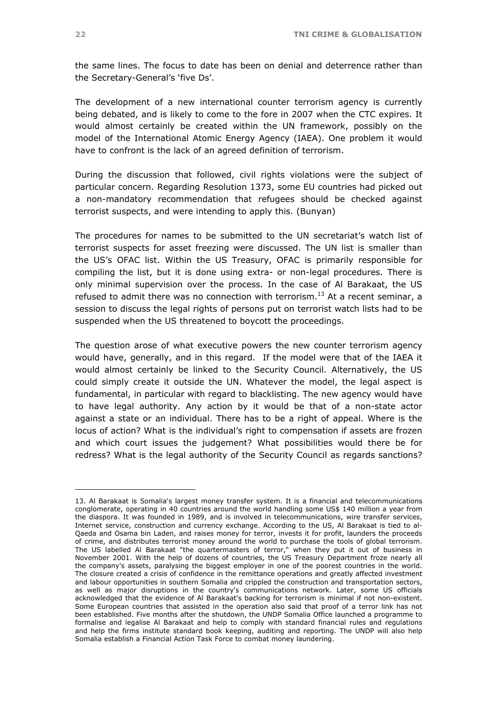the same lines. The focus to date has been on denial and deterrence rather than the Secretary-General's 'five Ds'.

The development of a new international counter terrorism agency is currently being debated, and is likely to come to the fore in 2007 when the CTC expires. It would almost certainly be created within the UN framework, possibly on the model of the International Atomic Energy Agency (IAEA). One problem it would have to confront is the lack of an agreed definition of terrorism.

During the discussion that followed, civil rights violations were the subject of particular concern. Regarding Resolution 1373, some EU countries had picked out a non-mandatory recommendation that refugees should be checked against terrorist suspects, and were intending to apply this. (Bunyan)

The procedures for names to be submitted to the UN secretariat's watch list of terrorist suspects for asset freezing were discussed. The UN list is smaller than the US's OFAC list. Within the US Treasury, OFAC is primarily responsible for compiling the list, but it is done using extra- or non-legal procedures. There is only minimal supervision over the process. In the case of Al Barakaat, the US refused to admit there was no connection with terrorism.<sup>13</sup> At a recent seminar, a session to discuss the legal rights of persons put on terrorist watch lists had to be suspended when the US threatened to boycott the proceedings.

The question arose of what executive powers the new counter terrorism agency would have, generally, and in this regard. If the model were that of the IAEA it would almost certainly be linked to the Security Council. Alternatively, the US could simply create it outside the UN. Whatever the model, the legal aspect is fundamental, in particular with regard to blacklisting. The new agency would have to have legal authority. Any action by it would be that of a non-state actor against a state or an individual. There has to be a right of appeal. Where is the locus of action? What is the individual's right to compensation if assets are frozen and which court issues the judgement? What possibilities would there be for redress? What is the legal authority of the Security Council as regards sanctions?

<span id="page-21-0"></span><sup>13.</sup> Al Barakaat is Somalia's largest money transfer system. It is a financial and telecommunications conglomerate, operating in 40 countries around the world handling some US\$ 140 million a year from the diaspora. It was founded in 1989, and is involved in telecommunications, wire transfer services, Internet service, construction and currency exchange. According to the US, Al Barakaat is tied to al-Qaeda and Osama bin Laden, and raises money for terror, invests it for profit, launders the proceeds of crime, and distributes terrorist money around the world to purchase the tools of global terrorism. The US labelled Al Barakaat "the quartermasters of terror," when they put it out of business in November 2001. With the help of dozens of countries, the US Treasury Department froze nearly all the company's assets, paralysing the biggest employer in one of the poorest countries in the world. The closure created a crisis of confidence in the remittance operations and greatly affected investment and labour opportunities in southern Somalia and crippled the construction and transportation sectors, as well as major disruptions in the country's communications network. Later, some US officials acknowledged that the evidence of Al Barakaat's backing for terrorism is minimal if not non-existent. Some European countries that assisted in the operation also said that proof of a terror link has not been established. Five months after the shutdown, the UNDP Somalia Office launched a programme to formalise and legalise Al Barakaat and help to comply with standard financial rules and regulations and help the firms institute standard book keeping, auditing and reporting. The UNDP will also help Somalia establish a Financial Action Task Force to combat money laundering.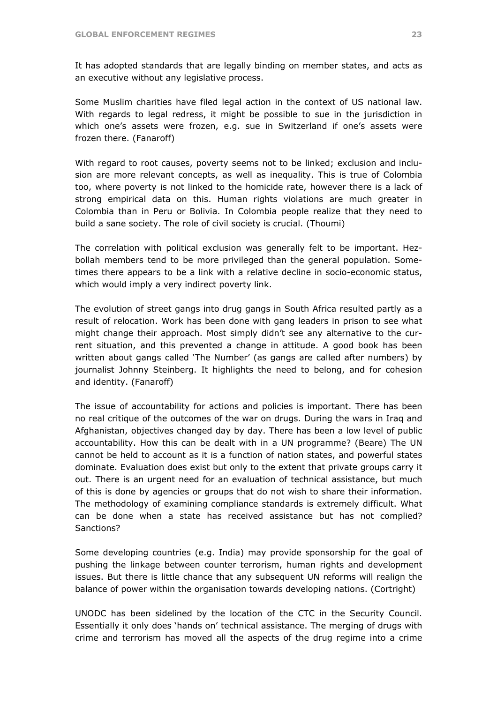It has adopted standards that are legally binding on member states, and acts as an executive without any legislative process.

Some Muslim charities have filed legal action in the context of US national law. With regards to legal redress, it might be possible to sue in the jurisdiction in which one's assets were frozen, e.g. sue in Switzerland if one's assets were frozen there. (Fanaroff)

With regard to root causes, poverty seems not to be linked; exclusion and inclusion are more relevant concepts, as well as inequality. This is true of Colombia too, where poverty is not linked to the homicide rate, however there is a lack of strong empirical data on this. Human rights violations are much greater in Colombia than in Peru or Bolivia. In Colombia people realize that they need to build a sane society. The role of civil society is crucial. (Thoumi)

The correlation with political exclusion was generally felt to be important. Hezbollah members tend to be more privileged than the general population. Sometimes there appears to be a link with a relative decline in socio-economic status, which would imply a very indirect poverty link.

The evolution of street gangs into drug gangs in South Africa resulted partly as a result of relocation. Work has been done with gang leaders in prison to see what might change their approach. Most simply didn't see any alternative to the current situation, and this prevented a change in attitude. A good book has been written about gangs called 'The Number' (as gangs are called after numbers) by journalist Johnny Steinberg. It highlights the need to belong, and for cohesion and identity. (Fanaroff)

The issue of accountability for actions and policies is important. There has been no real critique of the outcomes of the war on drugs. During the wars in Iraq and Afghanistan, objectives changed day by day. There has been a low level of public accountability. How this can be dealt with in a UN programme? (Beare) The UN cannot be held to account as it is a function of nation states, and powerful states dominate. Evaluation does exist but only to the extent that private groups carry it out. There is an urgent need for an evaluation of technical assistance, but much of this is done by agencies or groups that do not wish to share their information. The methodology of examining compliance standards is extremely difficult. What can be done when a state has received assistance but has not complied? Sanctions?

Some developing countries (e.g. India) may provide sponsorship for the goal of pushing the linkage between counter terrorism, human rights and development issues. But there is little chance that any subsequent UN reforms will realign the balance of power within the organisation towards developing nations. (Cortright)

UNODC has been sidelined by the location of the CTC in the Security Council. Essentially it only does 'hands on' technical assistance. The merging of drugs with crime and terrorism has moved all the aspects of the drug regime into a crime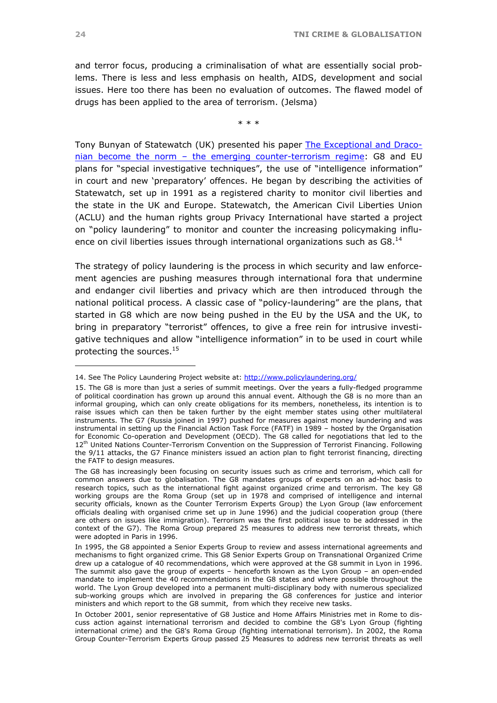<span id="page-23-1"></span>and terror focus, producing a criminalisation of what are essentially social problems. There is less and less emphasis on health, AIDS, development and social issues. Here too there has been no evaluation of outcomes. The flawed model of drugs has been applied to the area of terrorism. (Jelsma)

\* \* \*

Tony Bunyan of Statewatch (UK) presented his paper [The Exceptional and Draco](http://www.tni.org/crime-docs/bunyan.pdf)[nian become the norm – the emerging counter-terrorism regime](http://www.tni.org/crime-docs/bunyan.pdf): G8 and EU plans for "special investigative techniques", the use of "intelligence information" in court and new 'preparatory' offences. He began by describing the activities of Statewatch, set up in 1991 as a registered charity to monitor civil liberties and the state in the UK and Europe. Statewatch, the American Civil Liberties Union (ACLU) and the human rights group Privacy International have started a project on "policy laundering" to monitor and counter the increasing policymaking influence on civil liberties issues through international organizations such as G8.<sup>14</sup>

The strategy of policy laundering is the process in which security and law enforcement agencies are pushing measures through international fora that undermine and endanger civil liberties and privacy which are then introduced through the national political process. A classic case of "policy-laundering" are the plans, that started in G8 which are now being pushed in the EU by the USA and the UK, to bring in preparatory "terrorist" offences, to give a free rein for intrusive investigative techniques and allow "intelligence information" in to be used in court while protecting the sources[.15](#page-23-1)

<span id="page-23-0"></span><sup>14.</sup> See The Policy Laundering Project website at:<http://www.policylaundering.org/>

<sup>15.</sup> The G8 is more than just a series of summit meetings. Over the years a fully-fledged programme of political coordination has grown up around this annual event. Although the G8 is no more than an informal grouping, which can only create obligations for its members, nonetheless, its intention is to raise issues which can then be taken further by the eight member states using other multilateral instruments. The G7 (Russia joined in 1997) pushed for measures against money laundering and was instrumental in setting up the Financial Action Task Force (FATF) in 1989 – hosted by the Organisation for Economic Co-operation and Development (OECD). The G8 called for negotiations that led to the 12<sup>th</sup> United Nations Counter-Terrorism Convention on the Suppression of Terrorist Financing. Following the 9/11 attacks, the G7 Finance ministers issued an action plan to fight terrorist financing, directing the FATF to design measures.

The G8 has increasingly been focusing on security issues such as crime and terrorism, which call for common answers due to globalisation. The G8 mandates groups of experts on an ad-hoc basis to research topics, such as the international fight against organized crime and terrorism. The key G8 working groups are the Roma Group (set up in 1978 and comprised of intelligence and internal security officials, known as the Counter Terrorism Experts Group) the Lyon Group (law enforcement officials dealing with organised crime set up in June 1996) and the judicial cooperation group (there are others on issues like immigration). Terrorism was the first political issue to be addressed in the context of the G7). The Roma Group prepared 25 measures to address new terrorist threats, which were adopted in Paris in 1996.

In 1995, the G8 appointed a Senior Experts Group to review and assess international agreements and mechanisms to fight organized crime. This G8 Senior Experts Group on Transnational Organized Crime drew up a catalogue of 40 recommendations, which were approved at the G8 summit in Lyon in 1996. The summit also gave the group of experts – henceforth known as the Lyon Group – an open-ended mandate to implement the 40 recommendations in the G8 states and where possible throughout the world. The Lyon Group developed into a permanent multi-disciplinary body with numerous specialized sub-working groups which are involved in preparing the G8 conferences for justice and interior ministers and which report to the G8 summit, from which they receive new tasks.

In October 2001, senior representative of G8 Justice and Home Affairs Ministries met in Rome to discuss action against international terrorism and decided to combine the G8's Lyon Group (fighting international crime) and the G8's Roma Group (fighting international terrorism). In 2002, the Roma Group Counter-Terrorism Experts Group passed 25 Measures to address new terrorist threats as well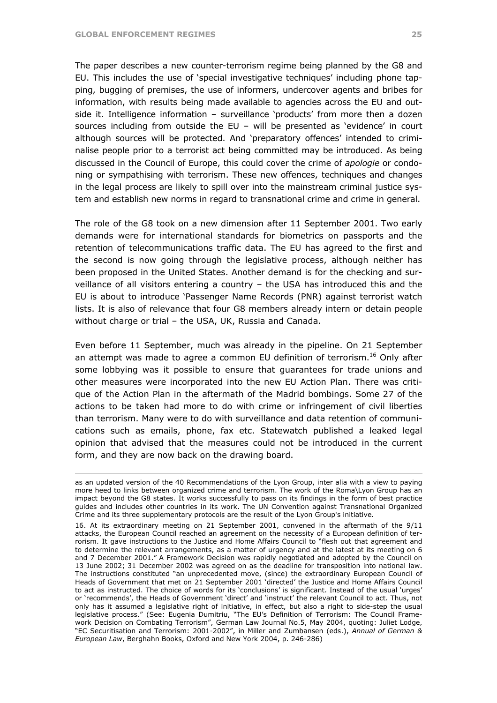1

The paper describes a new counter-terrorism regime being planned by the G8 and EU. This includes the use of 'special investigative techniques' including phone tapping, bugging of premises, the use of informers, undercover agents and bribes for information, with results being made available to agencies across the EU and outside it. Intelligence information – surveillance 'products' from more then a dozen sources including from outside the EU – will be presented as 'evidence' in court although sources will be protected. And 'preparatory offences' intended to criminalise people prior to a terrorist act being committed may be introduced. As being discussed in the Council of Europe, this could cover the crime of *apologie* or condoning or sympathising with terrorism. These new offences, techniques and changes in the legal process are likely to spill over into the mainstream criminal justice system and establish new norms in regard to transnational crime and crime in general.

The role of the G8 took on a new dimension after 11 September 2001. Two early demands were for international standards for biometrics on passports and the retention of telecommunications traffic data. The EU has agreed to the first and the second is now going through the legislative process, although neither has been proposed in the United States. Another demand is for the checking and surveillance of all visitors entering a country – the USA has introduced this and the EU is about to introduce 'Passenger Name Records (PNR) against terrorist watch lists. It is also of relevance that four G8 members already intern or detain people without charge or trial – the USA, UK, Russia and Canada.

Even before 11 September, much was already in the pipeline. On 21 September an attempt was made to agree a common EU definition of terrorism.<sup>16</sup> Only after some lobbying was it possible to ensure that guarantees for trade unions and other measures were incorporated into the new EU Action Plan. There was critique of the Action Plan in the aftermath of the Madrid bombings. Some 27 of the actions to be taken had more to do with crime or infringement of civil liberties than terrorism. Many were to do with surveillance and data retention of communications such as emails, phone, fax etc. Statewatch published a leaked legal opinion that advised that the measures could not be introduced in the current form, and they are now back on the drawing board.

as an updated version of the 40 Recommendations of the Lyon Group, inter alia with a view to paying more heed to links between organized crime and terrorism. The work of the Roma\Lyon Group has an impact beyond the G8 states. It works successfully to pass on its findings in the form of best practice guides and includes other countries in its work. The UN Convention against Transnational Organized Crime and its three supplementary protocols are the result of the Lyon Group's initiative.

<span id="page-24-0"></span><sup>16.</sup> At its extraordinary meeting on 21 September 2001, convened in the aftermath of the 9/11 attacks, the European Council reached an agreement on the necessity of a European definition of terrorism. It gave instructions to the Justice and Home Affairs Council to "flesh out that agreement and to determine the relevant arrangements, as a matter of urgency and at the latest at its meeting on 6 and 7 December 2001." A Framework Decision was rapidly negotiated and adopted by the Council on 13 June 2002; 31 December 2002 was agreed on as the deadline for transposition into national law. The instructions constituted "an unprecedented move, (since) the extraordinary European Council of Heads of Government that met on 21 September 2001 'directed' the Justice and Home Affairs Council to act as instructed. The choice of words for its 'conclusions' is significant. Instead of the usual 'urges' or 'recommends', the Heads of Government 'direct' and 'instruct' the relevant Council to act. Thus, not only has it assumed a legislative right of initiative, in effect, but also a right to side-step the usual legislative process." (See: Eugenia Dumitriu, "The EU's Definition of Terrorism: The Council Framework Decision on Combating Terrorism", German Law Journal No.5, May 2004, quoting: Juliet Lodge, "EC Securitisation and Terrorism: 2001-2002", in Miller and Zumbansen (eds.), *Annual of German & European Law*, Berghahn Books, Oxford and New York 2004, p. 246-286)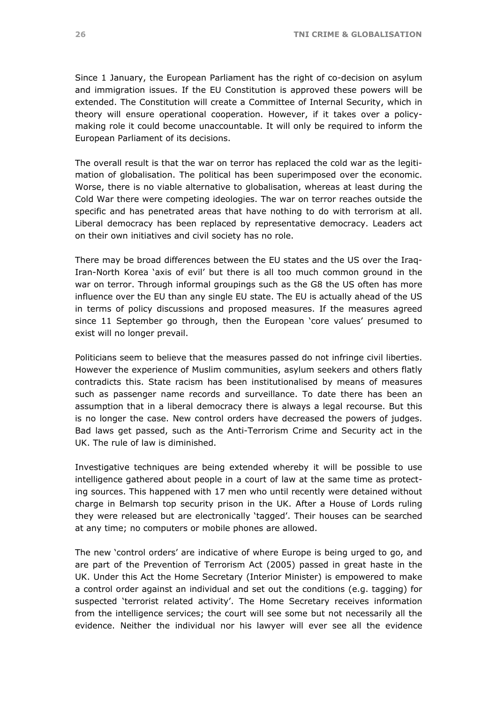Since 1 January, the European Parliament has the right of co-decision on asylum and immigration issues. If the EU Constitution is approved these powers will be extended. The Constitution will create a Committee of Internal Security, which in theory will ensure operational cooperation. However, if it takes over a policymaking role it could become unaccountable. It will only be required to inform the European Parliament of its decisions.

The overall result is that the war on terror has replaced the cold war as the legitimation of globalisation. The political has been superimposed over the economic. Worse, there is no viable alternative to globalisation, whereas at least during the Cold War there were competing ideologies. The war on terror reaches outside the specific and has penetrated areas that have nothing to do with terrorism at all. Liberal democracy has been replaced by representative democracy. Leaders act on their own initiatives and civil society has no role.

There may be broad differences between the EU states and the US over the Iraq-Iran-North Korea 'axis of evil' but there is all too much common ground in the war on terror. Through informal groupings such as the G8 the US often has more influence over the EU than any single EU state. The EU is actually ahead of the US in terms of policy discussions and proposed measures. If the measures agreed since 11 September go through, then the European 'core values' presumed to exist will no longer prevail.

Politicians seem to believe that the measures passed do not infringe civil liberties. However the experience of Muslim communities, asylum seekers and others flatly contradicts this. State racism has been institutionalised by means of measures such as passenger name records and surveillance. To date there has been an assumption that in a liberal democracy there is always a legal recourse. But this is no longer the case. New control orders have decreased the powers of judges. Bad laws get passed, such as the Anti-Terrorism Crime and Security act in the UK. The rule of law is diminished.

Investigative techniques are being extended whereby it will be possible to use intelligence gathered about people in a court of law at the same time as protecting sources. This happened with 17 men who until recently were detained without charge in Belmarsh top security prison in the UK. After a House of Lords ruling they were released but are electronically 'tagged'. Their houses can be searched at any time; no computers or mobile phones are allowed.

The new 'control orders' are indicative of where Europe is being urged to go, and are part of the Prevention of Terrorism Act (2005) passed in great haste in the UK. Under this Act the Home Secretary (Interior Minister) is empowered to make a control order against an individual and set out the conditions (e.g. tagging) for suspected 'terrorist related activity'. The Home Secretary receives information from the intelligence services; the court will see some but not necessarily all the evidence. Neither the individual nor his lawyer will ever see all the evidence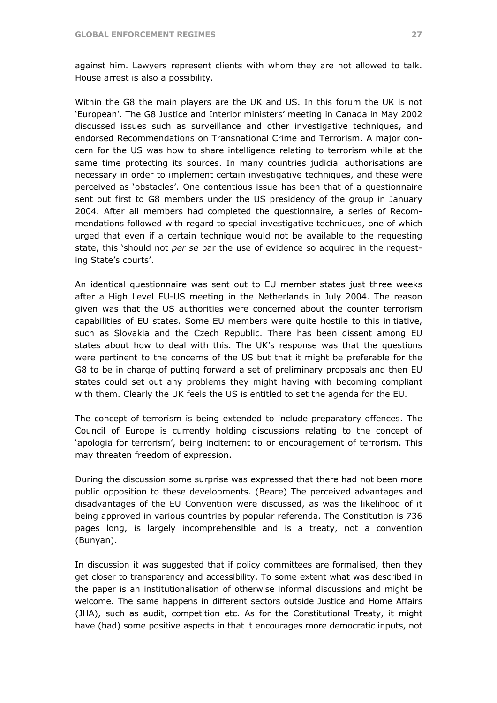against him. Lawyers represent clients with whom they are not allowed to talk. House arrest is also a possibility.

Within the G8 the main players are the UK and US. In this forum the UK is not 'European'. The G8 Justice and Interior ministers' meeting in Canada in May 2002 discussed issues such as surveillance and other investigative techniques, and endorsed Recommendations on Transnational Crime and Terrorism. A major concern for the US was how to share intelligence relating to terrorism while at the same time protecting its sources. In many countries judicial authorisations are necessary in order to implement certain investigative techniques, and these were perceived as 'obstacles'. One contentious issue has been that of a questionnaire sent out first to G8 members under the US presidency of the group in January 2004. After all members had completed the questionnaire, a series of Recommendations followed with regard to special investigative techniques, one of which urged that even if a certain technique would not be available to the requesting state, this 'should not *per se* bar the use of evidence so acquired in the requesting State's courts'.

An identical questionnaire was sent out to EU member states just three weeks after a High Level EU-US meeting in the Netherlands in July 2004. The reason given was that the US authorities were concerned about the counter terrorism capabilities of EU states. Some EU members were quite hostile to this initiative, such as Slovakia and the Czech Republic. There has been dissent among EU states about how to deal with this. The UK's response was that the questions were pertinent to the concerns of the US but that it might be preferable for the G8 to be in charge of putting forward a set of preliminary proposals and then EU states could set out any problems they might having with becoming compliant with them. Clearly the UK feels the US is entitled to set the agenda for the EU.

The concept of terrorism is being extended to include preparatory offences. The Council of Europe is currently holding discussions relating to the concept of 'apologia for terrorism', being incitement to or encouragement of terrorism. This may threaten freedom of expression.

During the discussion some surprise was expressed that there had not been more public opposition to these developments. (Beare) The perceived advantages and disadvantages of the EU Convention were discussed, as was the likelihood of it being approved in various countries by popular referenda. The Constitution is 736 pages long, is largely incomprehensible and is a treaty, not a convention (Bunyan).

In discussion it was suggested that if policy committees are formalised, then they get closer to transparency and accessibility. To some extent what was described in the paper is an institutionalisation of otherwise informal discussions and might be welcome. The same happens in different sectors outside Justice and Home Affairs (JHA), such as audit, competition etc. As for the Constitutional Treaty, it might have (had) some positive aspects in that it encourages more democratic inputs, not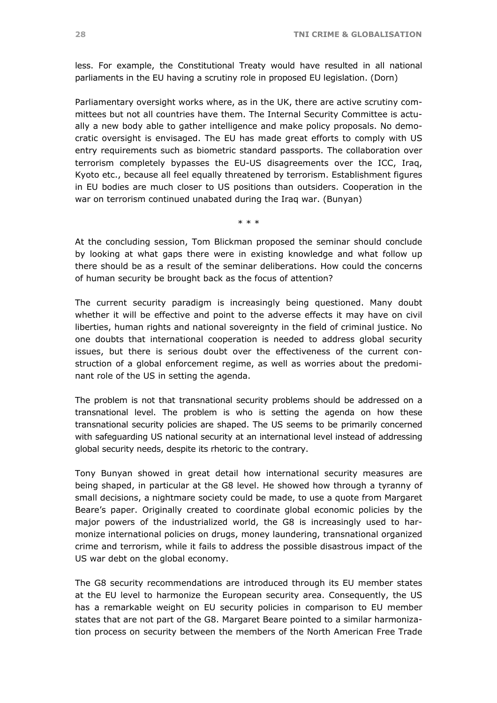less. For example, the Constitutional Treaty would have resulted in all national parliaments in the EU having a scrutiny role in proposed EU legislation. (Dorn)

Parliamentary oversight works where, as in the UK, there are active scrutiny committees but not all countries have them. The Internal Security Committee is actually a new body able to gather intelligence and make policy proposals. No democratic oversight is envisaged. The EU has made great efforts to comply with US entry requirements such as biometric standard passports. The collaboration over terrorism completely bypasses the EU-US disagreements over the ICC, Iraq, Kyoto etc., because all feel equally threatened by terrorism. Establishment figures in EU bodies are much closer to US positions than outsiders. Cooperation in the war on terrorism continued unabated during the Iraq war. (Bunyan)

\* \* \*

At the concluding session, Tom Blickman proposed the seminar should conclude by looking at what gaps there were in existing knowledge and what follow up there should be as a result of the seminar deliberations. How could the concerns of human security be brought back as the focus of attention?

The current security paradigm is increasingly being questioned. Many doubt whether it will be effective and point to the adverse effects it may have on civil liberties, human rights and national sovereignty in the field of criminal justice. No one doubts that international cooperation is needed to address global security issues, but there is serious doubt over the effectiveness of the current construction of a global enforcement regime, as well as worries about the predominant role of the US in setting the agenda.

The problem is not that transnational security problems should be addressed on a transnational level. The problem is who is setting the agenda on how these transnational security policies are shaped. The US seems to be primarily concerned with safeguarding US national security at an international level instead of addressing global security needs, despite its rhetoric to the contrary.

Tony Bunyan showed in great detail how international security measures are being shaped, in particular at the G8 level. He showed how through a tyranny of small decisions, a nightmare society could be made, to use a quote from Margaret Beare's paper. Originally created to coordinate global economic policies by the major powers of the industrialized world, the G8 is increasingly used to harmonize international policies on drugs, money laundering, transnational organized crime and terrorism, while it fails to address the possible disastrous impact of the US war debt on the global economy.

The G8 security recommendations are introduced through its EU member states at the EU level to harmonize the European security area. Consequently, the US has a remarkable weight on EU security policies in comparison to EU member states that are not part of the G8. Margaret Beare pointed to a similar harmonization process on security between the members of the North American Free Trade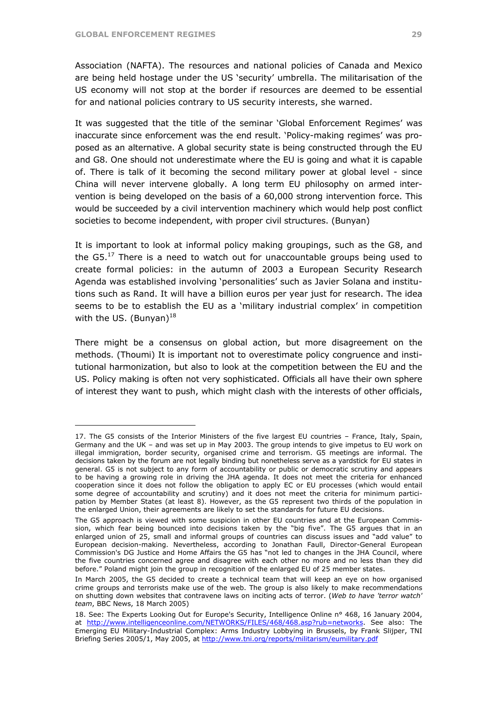$\overline{a}$ 

Association (NAFTA). The resources and national policies of Canada and Mexico are being held hostage under the US 'security' umbrella. The militarisation of the US economy will not stop at the border if resources are deemed to be essential for and national policies contrary to US security interests, she warned.

It was suggested that the title of the seminar 'Global Enforcement Regimes' was inaccurate since enforcement was the end result. 'Policy-making regimes' was proposed as an alternative. A global security state is being constructed through the EU and G8. One should not underestimate where the EU is going and what it is capable of. There is talk of it becoming the second military power at global level - since China will never intervene globally. A long term EU philosophy on armed intervention is being developed on the basis of a 60,000 strong intervention force. This would be succeeded by a civil intervention machinery which would help post conflict societies to become independent, with proper civil structures. (Bunyan)

It is important to look at informal policy making groupings, such as the G8, and the  $G5<sup>17</sup>$  There is a need to watch out for unaccountable groups being used to create formal policies: in the autumn of 2003 a European Security Research Agenda was established involving 'personalities' such as Javier Solana and institutions such as Rand. It will have a billion euros per year just for research. The idea seems to be to establish the EU as a 'military industrial complex' in competition with the US. (Bunyan) $^{18}$  $^{18}$  $^{18}$ 

There might be a consensus on global action, but more disagreement on the methods. (Thoumi) It is important not to overestimate policy congruence and institutional harmonization, but also to look at the competition between the EU and the US. Policy making is often not very sophisticated. Officials all have their own sphere of interest they want to push, which might clash with the interests of other officials,

<span id="page-28-0"></span><sup>17.</sup> The G5 consists of the Interior Ministers of the five largest EU countries – France, Italy, Spain, Germany and the UK – and was set up in May 2003. The group intends to give impetus to EU work on illegal immigration, border security, organised crime and terrorism. G5 meetings are informal. The decisions taken by the forum are not legally binding but nonetheless serve as a yardstick for EU states in general. G5 is not subject to any form of accountability or public or democratic scrutiny and appears to be having a growing role in driving the JHA agenda. It does not meet the criteria for enhanced cooperation since it does not follow the obligation to apply EC or EU processes (which would entail some degree of accountability and scrutiny) and it does not meet the criteria for minimum participation by Member States (at least 8). However, as the G5 represent two thirds of the population in the enlarged Union, their agreements are likely to set the standards for future EU decisions.

The G5 approach is viewed with some suspicion in other EU countries and at the European Commission, which fear being bounced into decisions taken by the "big five". The G5 argues that in an enlarged union of 25, small and informal groups of countries can discuss issues and "add value" to European decision-making. Nevertheless, according to Jonathan Faull, Director-General European Commission's DG Justice and Home Affairs the G5 has "not led to changes in the JHA Council, where the five countries concerned agree and disagree with each other no more and no less than they did before." Poland might join the group in recognition of the enlarged EU of 25 member states.

In March 2005, the G5 decided to create a technical team that will keep an eye on how organised crime groups and terrorists make use of the web. The group is also likely to make recommendations on shutting down websites that contravene laws on inciting acts of terror. (*Web to have 'terror watch' team*, BBC News, 18 March 2005)

<span id="page-28-1"></span><sup>18.</sup> See: The Experts Looking Out for Europe's Security, Intelligence Online n° 468, 16 January 2004, at [http://www.intelligenceonline.com/NETWORKS/FILES/468/468.asp?rub=networks.](http://www.intelligenceonline.com/NETWORKS/FILES/468/468.asp?rub=networks) See also: The Emerging EU Military-Industrial Complex: Arms Industry Lobbying in Brussels, by Frank Slijper, TNI Briefing Series 2005/1, May 2005, at <http://www.tni.org/reports/militarism/eumilitary.pdf>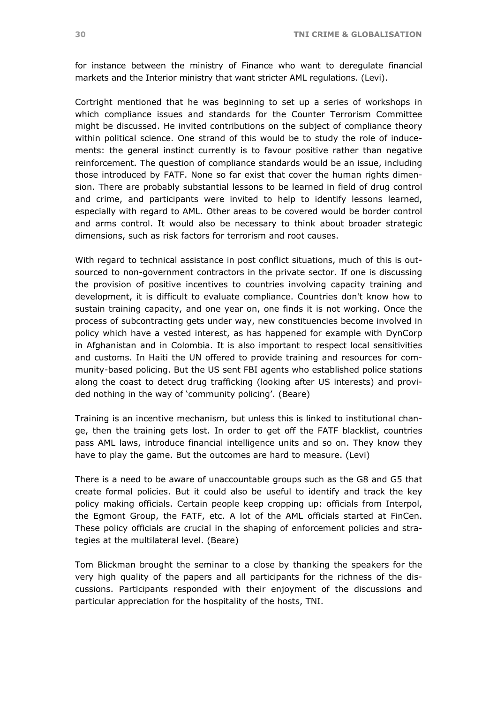for instance between the ministry of Finance who want to deregulate financial markets and the Interior ministry that want stricter AML regulations. (Levi).

Cortright mentioned that he was beginning to set up a series of workshops in which compliance issues and standards for the Counter Terrorism Committee might be discussed. He invited contributions on the subject of compliance theory within political science. One strand of this would be to study the role of inducements: the general instinct currently is to favour positive rather than negative reinforcement. The question of compliance standards would be an issue, including those introduced by FATF. None so far exist that cover the human rights dimension. There are probably substantial lessons to be learned in field of drug control and crime, and participants were invited to help to identify lessons learned, especially with regard to AML. Other areas to be covered would be border control and arms control. It would also be necessary to think about broader strategic dimensions, such as risk factors for terrorism and root causes.

With regard to technical assistance in post conflict situations, much of this is outsourced to non-government contractors in the private sector. If one is discussing the provision of positive incentives to countries involving capacity training and development, it is difficult to evaluate compliance. Countries don't know how to sustain training capacity, and one year on, one finds it is not working. Once the process of subcontracting gets under way, new constituencies become involved in policy which have a vested interest, as has happened for example with DynCorp in Afghanistan and in Colombia. It is also important to respect local sensitivities and customs. In Haiti the UN offered to provide training and resources for community-based policing. But the US sent FBI agents who established police stations along the coast to detect drug trafficking (looking after US interests) and provided nothing in the way of 'community policing'. (Beare)

Training is an incentive mechanism, but unless this is linked to institutional change, then the training gets lost. In order to get off the FATF blacklist, countries pass AML laws, introduce financial intelligence units and so on. They know they have to play the game. But the outcomes are hard to measure. (Levi)

There is a need to be aware of unaccountable groups such as the G8 and G5 that create formal policies. But it could also be useful to identify and track the key policy making officials. Certain people keep cropping up: officials from Interpol, the Egmont Group, the FATF, etc. A lot of the AML officials started at FinCen. These policy officials are crucial in the shaping of enforcement policies and strategies at the multilateral level. (Beare)

Tom Blickman brought the seminar to a close by thanking the speakers for the very high quality of the papers and all participants for the richness of the discussions. Participants responded with their enjoyment of the discussions and particular appreciation for the hospitality of the hosts, TNI.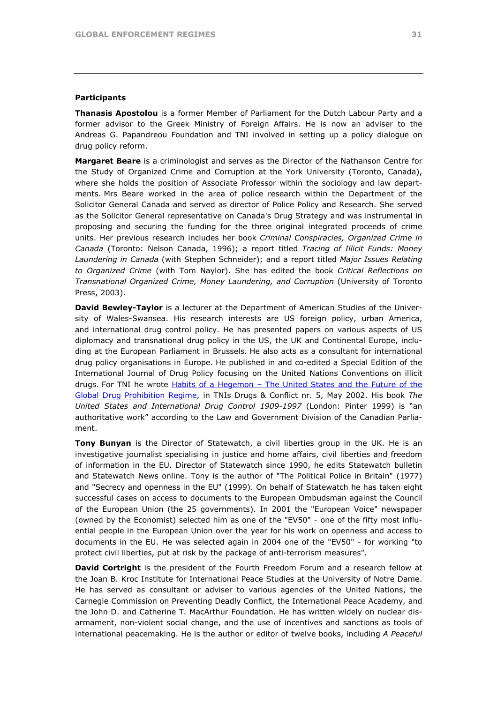### **Participants**

**Thanasis Apostolou** is a former Member of Parliament for the Dutch Labour Party and a former advisor to the Greek Ministry of Foreign Affairs. He is now an adviser to the Andreas G. Papandreou Foundation and TNI involved in setting up a policy dialogue on drug policy reform.

**Margaret Beare** is a criminologist and serves as the Director of the Nathanson Centre for the Study of Organized Crime and Corruption at the York University (Toronto, Canada), where she holds the position of Associate Professor within the sociology and law departments. Mrs Beare worked in the area of police research within the Department of the Solicitor General Canada and served as director of Police Policy and Research. She served as the Solicitor General representative on Canada's Drug Strategy and was instrumental in proposing and securing the funding for the three original integrated proceeds of crime units. Her previous research includes her book *Criminal Conspiracies, Organized Crime in Canada* (Toronto: Nelson Canada, 1996); a report titled *Tracing of Illicit Funds: Money Laundering in Canada* (with Stephen Schneider); and a report titled *Major Issues Relating to Organized Crime* (with Tom Naylor). She has edited the book *Critical Reflections on Transnational Organized Crime, Money Laundering, and Corruption* (University of Toronto Press, 2003).

**David Bewley-Taylor** is a lecturer at the Department of American Studies of the University of Wales-Swansea. His research interests are US foreign policy, urban America, and international drug control policy. He has presented papers on various aspects of US diplomacy and transnational drug policy in the US, the UK and Continental Europe, including at the European Parliament in Brussels. He also acts as a consultant for international drug policy organisations in Europe. He published in and co-edited a Special Edition of the International Journal of Drug Policy focusing on the United Nations Conventions on illicit drugs. For TNI he wrote [Habits of a Hegemon – The United States and the Future of the](http://www.tni.org/reports/drugs/debate5.htm)  [Global Drug Prohibition Regime,](http://www.tni.org/reports/drugs/debate5.htm) in TNIs Drugs & Conflict nr. 5, May 2002. His book *The United States and International Drug Control 1909-1997* (London: Pinter 1999) is "an authoritative work" according to the Law and Government Division of the Canadian Parliament.

**Tony Bunyan** is the Director of Statewatch, a civil liberties group in the UK. He is an investigative journalist specialising in justice and home affairs, civil liberties and freedom of information in the EU. Director of Statewatch since 1990, he edits Statewatch bulletin and Statewatch News online. Tony is the author of "The Political Police in Britain" (1977) and "Secrecy and openness in the EU" (1999). On behalf of Statewatch he has taken eight successful cases on access to documents to the European Ombudsman against the Council of the European Union (the 25 governments). In 2001 the "European Voice" newspaper (owned by the Economist) selected him as one of the "EV50" - one of the fifty most influential people in the European Union over the year for his work on openness and access to documents in the EU. He was selected again in 2004 one of the "EV50" - for working "to protect civil liberties, put at risk by the package of anti-terrorism measures".

**David Cortright** is the president of the Fourth Freedom Forum and a research fellow at the Joan B. Kroc Institute for International Peace Studies at the University of Notre Dame. He has served as consultant or adviser to various agencies of the United Nations, the Carnegie Commission on Preventing Deadly Conflict, the International Peace Academy, and the John D. and Catherine T. MacArthur Foundation. He has written widely on nuclear disarmament, non-violent social change, and the use of incentives and sanctions as tools of international peacemaking. He is the author or editor of twelve books, including *A Peaceful*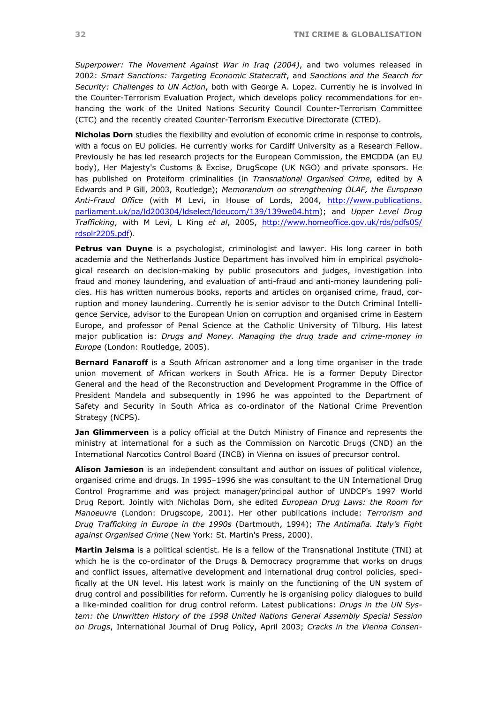*Superpower: The Movement Against War in Iraq (2004)*, and two volumes released in 2002: *Smart Sanctions: Targeting Economic Statecraft*, and *Sanctions and the Search for Security: Challenges to UN Action*, both with George A. Lopez. Currently he is involved in the Counter-Terrorism Evaluation Project, which develops policy recommendations for enhancing the work of the United Nations Security Council Counter-Terrorism Committee (CTC) and the recently created Counter-Terrorism Executive Directorate (CTED).

**Nicholas Dorn** studies the flexibility and evolution of economic crime in response to controls, with a focus on EU policies. He currently works for Cardiff University as a Research Fellow. Previously he has led research projects for the European Commission, the EMCDDA (an EU body), Her Majesty's Customs & Excise, DrugScope (UK NGO) and private sponsors. He has published on Proteiform criminalities (in *Transnational Organised Crime*, edited by A Edwards and P Gill, 2003, Routledge); *Memorandum on strengthening OLAF, the European Anti-Fraud Office* (with M Levi, in House of Lords, 2004, [http://www.publications.](http://www.publications.parliament.uk/pa/ld200304/ldselect/ldeucom/139/139we04.htm)  [parliament.uk/pa/ld200304/ldselect/ldeucom/139/139we04.htm](http://www.publications.parliament.uk/pa/ld200304/ldselect/ldeucom/139/139we04.htm)); and *Upper Level Drug Trafficking*, with M Levi, L King *et al*, 2005, [http://www.homeoffice.gov.uk/rds/pdfs05/](http://www.homeoffice.gov.uk/rds/pdfs05/rdsolr2205.pdf)  [rdsolr2205.pdf\)](http://www.homeoffice.gov.uk/rds/pdfs05/rdsolr2205.pdf).

**Petrus van Duyne** is a psychologist, criminologist and lawyer. His long career in both academia and the Netherlands Justice Department has involved him in empirical psychological research on decision-making by public prosecutors and judges, investigation into fraud and money laundering, and evaluation of anti-fraud and anti-money laundering policies. His has written numerous books, reports and articles on organised crime, fraud, corruption and money laundering. Currently he is senior advisor to the Dutch Criminal Intelligence Service, advisor to the European Union on corruption and organised crime in Eastern Europe, and professor of Penal Science at the Catholic University of Tilburg. His latest major publication is: *Drugs and Money. Managing the drug trade and crime-money in Europe* (London: Routledge, 2005).

**Bernard Fanaroff** is a South African astronomer and a long time organiser in the trade union movement of African workers in South Africa. He is a former Deputy Director General and the head of the Reconstruction and Development Programme in the Office of President Mandela and subsequently in 1996 he was appointed to the Department of Safety and Security in South Africa as co-ordinator of the National Crime Prevention Strategy (NCPS).

**Jan Glimmerveen** is a policy official at the Dutch Ministry of Finance and represents the ministry at international for a such as the Commission on Narcotic Drugs (CND) an the International Narcotics Control Board (INCB) in Vienna on issues of precursor control.

**Alison Jamieson** is an independent consultant and author on issues of political violence, organised crime and drugs. In 1995–1996 she was consultant to the UN International Drug Control Programme and was project manager/principal author of UNDCP's 1997 World Drug Report. Jointly with Nicholas Dorn, she edited *European Drug Laws: the Room for Manoeuvre* (London: Drugscope, 2001). Her other publications include: *Terrorism and Drug Trafficking in Europe in the 1990s* (Dartmouth, 1994); *The Antimafia. Italy's Fight against Organised Crime* (New York: St. Martin's Press, 2000).

**Martin Jelsma** is a political scientist. He is a fellow of the Transnational Institute (TNI) at which he is the co-ordinator of the Drugs & Democracy programme that works on drugs and conflict issues, alternative development and international drug control policies, specifically at the UN level. His latest work is mainly on the functioning of the UN system of drug control and possibilities for reform. Currently he is organising policy dialogues to build a like-minded coalition for drug control reform. Latest publications: *Drugs in the UN System: the Unwritten History of the 1998 United Nations General Assembly Special Session on Drugs*, International Journal of Drug Policy, April 2003; *Cracks in the Vienna Consen-*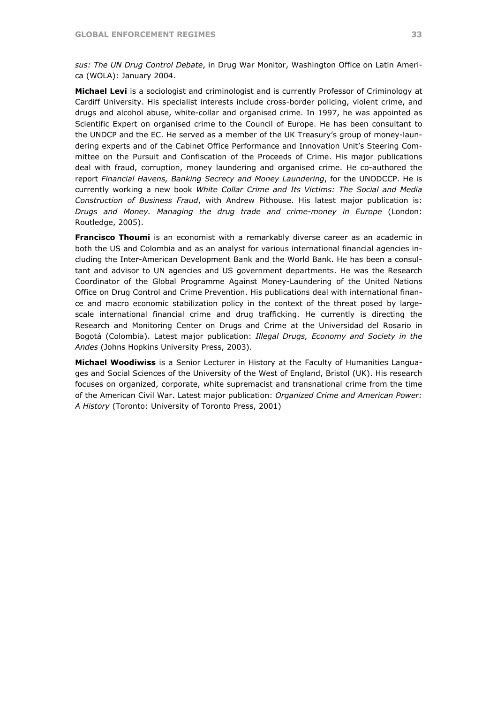*sus: The UN Drug Control Debate*, in Drug War Monitor, Washington Office on Latin America (WOLA): January 2004.

**Michael Levi** is a sociologist and criminologist and is currently Professor of Criminology at Cardiff University. His specialist interests include cross-border policing, violent crime, and drugs and alcohol abuse, white-collar and organised crime. In 1997, he was appointed as Scientific Expert on organised crime to the Council of Europe. He has been consultant to the UNDCP and the EC. He served as a member of the UK Treasury's group of money-laundering experts and of the Cabinet Office Performance and Innovation Unit's Steering Committee on the Pursuit and Confiscation of the Proceeds of Crime. His major publications deal with fraud, corruption, money laundering and organised crime. He co-authored the report *Financial Havens, Banking Secrecy and Money Laundering*, for the UNODCCP. He is currently working a new book *White Collar Crime and Its Victims: The Social and Media Construction of Business Fraud*, with Andrew Pithouse. His latest major publication is: *Drugs and Money. Managing the drug trade and crime-money in Europe* (London: Routledge, 2005).

**Francisco Thoumi** is an economist with a remarkably diverse career as an academic in both the US and Colombia and as an analyst for various international financial agencies including the Inter-American Development Bank and the World Bank. He has been a consultant and advisor to UN agencies and US government departments. He was the Research Coordinator of the Global Programme Against Money-Laundering of the United Nations Office on Drug Control and Crime Prevention. His publications deal with international finance and macro economic stabilization policy in the context of the threat posed by largescale international financial crime and drug trafficking. He currently is directing the Research and Monitoring Center on Drugs and Crime at the Universidad del Rosario in Bogotá (Colombia). Latest major publication: *Illegal Drugs, Economy and Society in the Andes* (Johns Hopkins University Press, 2003).

**Michael Woodiwiss** is a Senior Lecturer in History at the Faculty of Humanities Languages and Social Sciences of the University of the West of England, Bristol (UK). His research focuses on organized, corporate, white supremacist and transnational crime from the time of the American Civil War. Latest major publication: *Organized Crime and American Power: A History* (Toronto: University of Toronto Press, 2001)